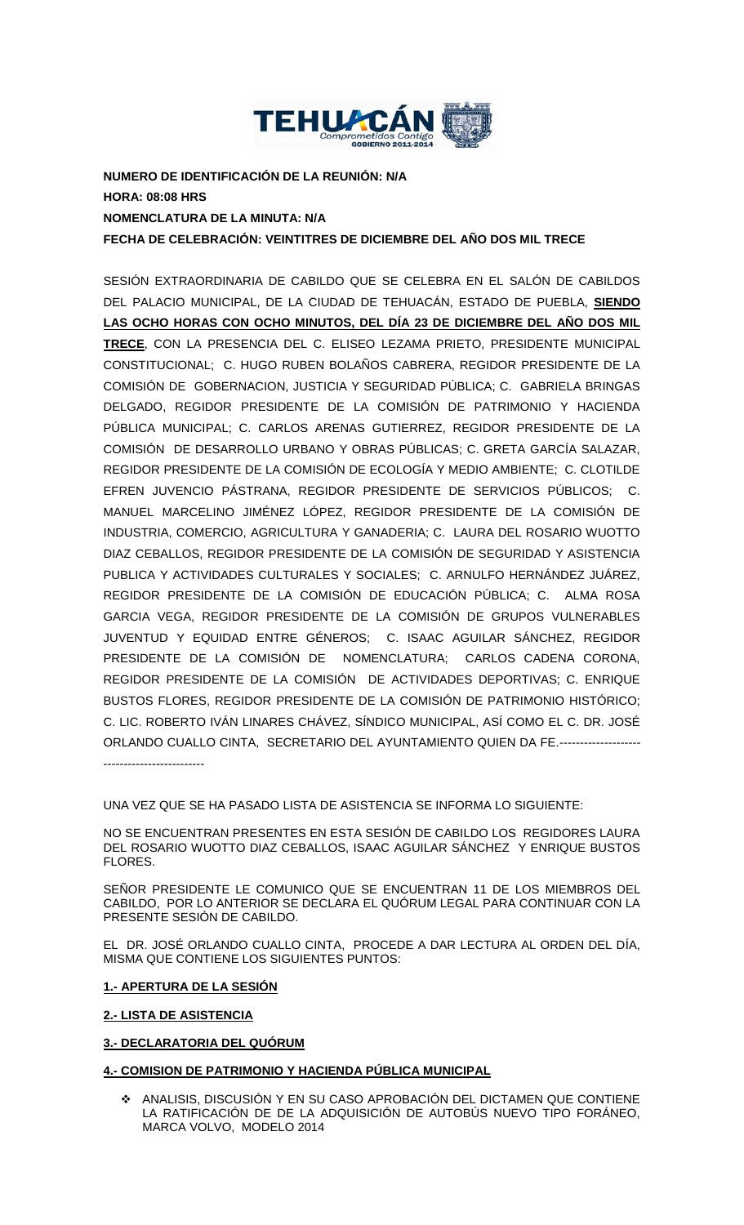

**NUMERO DE IDENTIFICACIÓN DE LA REUNIÓN: N/A HORA: 08:08 HRS NOMENCLATURA DE LA MINUTA: N/A FECHA DE CELEBRACIÓN: VEINTITRES DE DICIEMBRE DEL AÑO DOS MIL TRECE**

SESIÓN EXTRAORDINARIA DE CABILDO QUE SE CELEBRA EN EL SALÓN DE CABILDOS DEL PALACIO MUNICIPAL, DE LA CIUDAD DE TEHUACÁN, ESTADO DE PUEBLA, **SIENDO LAS OCHO HORAS CON OCHO MINUTOS, DEL DÍA 23 DE DICIEMBRE DEL AÑO DOS MIL TRECE**, CON LA PRESENCIA DEL C. ELISEO LEZAMA PRIETO, PRESIDENTE MUNICIPAL CONSTITUCIONAL; C. HUGO RUBEN BOLAÑOS CABRERA, REGIDOR PRESIDENTE DE LA COMISIÓN DE GOBERNACION, JUSTICIA Y SEGURIDAD PÚBLICA; C. GABRIELA BRINGAS DELGADO, REGIDOR PRESIDENTE DE LA COMISIÓN DE PATRIMONIO Y HACIENDA PÚBLICA MUNICIPAL; C. CARLOS ARENAS GUTIERREZ, REGIDOR PRESIDENTE DE LA COMISIÓN DE DESARROLLO URBANO Y OBRAS PÚBLICAS; C. GRETA GARCÍA SALAZAR, REGIDOR PRESIDENTE DE LA COMISIÓN DE ECOLOGÍA Y MEDIO AMBIENTE; C. CLOTILDE EFREN JUVENCIO PÁSTRANA, REGIDOR PRESIDENTE DE SERVICIOS PÚBLICOS; C. MANUEL MARCELINO JIMÉNEZ LÓPEZ, REGIDOR PRESIDENTE DE LA COMISIÓN DE INDUSTRIA, COMERCIO, AGRICULTURA Y GANADERIA; C. LAURA DEL ROSARIO WUOTTO DIAZ CEBALLOS, REGIDOR PRESIDENTE DE LA COMISIÓN DE SEGURIDAD Y ASISTENCIA PUBLICA Y ACTIVIDADES CULTURALES Y SOCIALES; C. ARNULFO HERNÁNDEZ JUÁREZ, REGIDOR PRESIDENTE DE LA COMISIÓN DE EDUCACIÓN PÚBLICA; C. ALMA ROSA GARCIA VEGA, REGIDOR PRESIDENTE DE LA COMISIÓN DE GRUPOS VULNERABLES JUVENTUD Y EQUIDAD ENTRE GÉNEROS; C. ISAAC AGUILAR SÁNCHEZ, REGIDOR PRESIDENTE DE LA COMISIÓN DE NOMENCLATURA; CARLOS CADENA CORONA, REGIDOR PRESIDENTE DE LA COMISIÓN DE ACTIVIDADES DEPORTIVAS; C. ENRIQUE BUSTOS FLORES, REGIDOR PRESIDENTE DE LA COMISIÓN DE PATRIMONIO HISTÓRICO; C. LIC. ROBERTO IVÁN LINARES CHÁVEZ, SÍNDICO MUNICIPAL, ASÍ COMO EL C. DR. JOSÉ ORLANDO CUALLO CINTA, SECRETARIO DEL AYUNTAMIENTO QUIEN DA FE.-------------------- -------------------------

UNA VEZ QUE SE HA PASADO LISTA DE ASISTENCIA SE INFORMA LO SIGUIENTE:

NO SE ENCUENTRAN PRESENTES EN ESTA SESIÓN DE CABILDO LOS REGIDORES LAURA DEL ROSARIO WUOTTO DIAZ CEBALLOS, ISAAC AGUILAR SÁNCHEZ Y ENRIQUE BUSTOS FLORES.

SEÑOR PRESIDENTE LE COMUNICO QUE SE ENCUENTRAN 11 DE LOS MIEMBROS DEL CABILDO, POR LO ANTERIOR SE DECLARA EL QUÓRUM LEGAL PARA CONTINUAR CON LA PRESENTE SESIÓN DE CABILDO.

EL DR. JOSÉ ORLANDO CUALLO CINTA, PROCEDE A DAR LECTURA AL ORDEN DEL DÍA, MISMA QUE CONTIENE LOS SIGUIENTES PUNTOS:

### **1.- APERTURA DE LA SESIÓN**

### **2.- LISTA DE ASISTENCIA**

### **3.- DECLARATORIA DEL QUÓRUM**

**4.- COMISION DE PATRIMONIO Y HACIENDA PÚBLICA MUNICIPAL**

 ANALISIS, DISCUSIÓN Y EN SU CASO APROBACIÓN DEL DICTAMEN QUE CONTIENE LA RATIFICACIÓN DE DE LA ADQUISICIÓN DE AUTOBÚS NUEVO TIPO FORÁNEO, MARCA VOLVO, MODELO 2014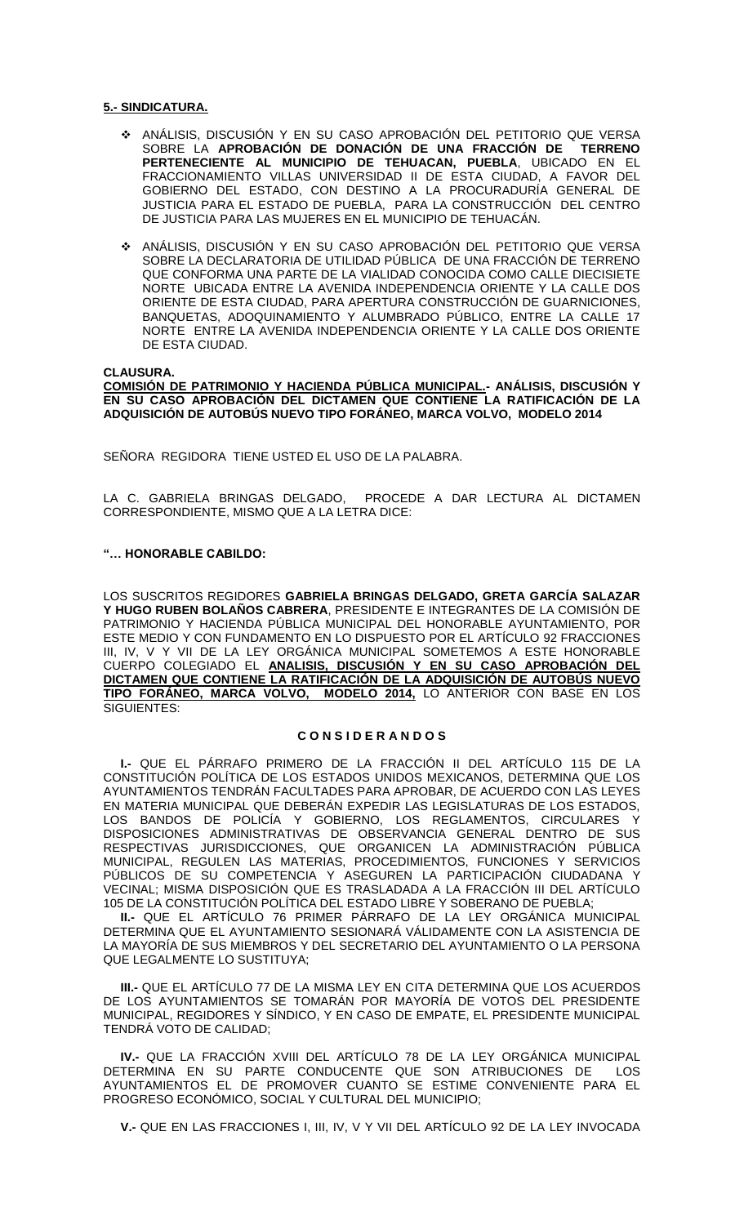### **5.- SINDICATURA.**

- ANÁLISIS, DISCUSIÓN Y EN SU CASO APROBACIÓN DEL PETITORIO QUE VERSA SOBRE LA **APROBACIÓN DE DONACIÓN DE UNA FRACCIÓN DE TERRENO PERTENECIENTE AL MUNICIPIO DE TEHUACAN, PUEBLA**, UBICADO EN EL FRACCIONAMIENTO VILLAS UNIVERSIDAD II DE ESTA CIUDAD, A FAVOR DEL GOBIERNO DEL ESTADO, CON DESTINO A LA PROCURADURÍA GENERAL DE JUSTICIA PARA EL ESTADO DE PUEBLA, PARA LA CONSTRUCCIÓN DEL CENTRO DE JUSTICIA PARA LAS MUJERES EN EL MUNICIPIO DE TEHUACÁN.
- ANÁLISIS, DISCUSIÓN Y EN SU CASO APROBACIÓN DEL PETITORIO QUE VERSA SOBRE LA DECLARATORIA DE UTILIDAD PÚBLICA DE UNA FRACCIÓN DE TERRENO QUE CONFORMA UNA PARTE DE LA VIALIDAD CONOCIDA COMO CALLE DIECISIETE NORTE UBICADA ENTRE LA AVENIDA INDEPENDENCIA ORIENTE Y LA CALLE DOS ORIENTE DE ESTA CIUDAD, PARA APERTURA CONSTRUCCIÓN DE GUARNICIONES, BANQUETAS, ADOQUINAMIENTO Y ALUMBRADO PÚBLICO, ENTRE LA CALLE 17 NORTE ENTRE LA AVENIDA INDEPENDENCIA ORIENTE Y LA CALLE DOS ORIENTE DE ESTA CIUDAD.

#### **CLAUSURA.**

**COMISIÓN DE PATRIMONIO Y HACIENDA PÚBLICA MUNICIPAL.- ANÁLISIS, DISCUSIÓN Y EN SU CASO APROBACIÓN DEL DICTAMEN QUE CONTIENE LA RATIFICACIÓN DE LA ADQUISICIÓN DE AUTOBÚS NUEVO TIPO FORÁNEO, MARCA VOLVO, MODELO 2014**

SEÑORA REGIDORA TIENE USTED EL USO DE LA PALABRA.

LA C. GABRIELA BRINGAS DELGADO, PROCEDE A DAR LECTURA AL DICTAMEN CORRESPONDIENTE, MISMO QUE A LA LETRA DICE:

#### **"… HONORABLE CABILDO:**

LOS SUSCRITOS REGIDORES **GABRIELA BRINGAS DELGADO, GRETA GARCÍA SALAZAR Y HUGO RUBEN BOLAÑOS CABRERA**, PRESIDENTE E INTEGRANTES DE LA COMISIÓN DE PATRIMONIO Y HACIENDA PÚBLICA MUNICIPAL DEL HONORABLE AYUNTAMIENTO, POR ESTE MEDIO Y CON FUNDAMENTO EN LO DISPUESTO POR EL ARTÍCULO 92 FRACCIONES III, IV, V Y VII DE LA LEY ORGÁNICA MUNICIPAL SOMETEMOS A ESTE HONORABLE CUERPO COLEGIADO EL **ANALISIS, DISCUSIÓN Y EN SU CASO APROBACIÓN DEL DICTAMEN QUE CONTIENE LA RATIFICACIÓN DE LA ADQUISICIÓN DE AUTOBÚS NUEVO TIPO FORÁNEO, MARCA VOLVO, MODELO 2014,** LO ANTERIOR CON BASE EN LOS SIGUIENTES:

### **C O N S I D E R A N D O S**

**I.-** QUE EL PÁRRAFO PRIMERO DE LA FRACCIÓN II DEL ARTÍCULO 115 DE LA CONSTITUCIÓN POLÍTICA DE LOS ESTADOS UNIDOS MEXICANOS, DETERMINA QUE LOS AYUNTAMIENTOS TENDRÁN FACULTADES PARA APROBAR, DE ACUERDO CON LAS LEYES EN MATERIA MUNICIPAL QUE DEBERÁN EXPEDIR LAS LEGISLATURAS DE LOS ESTADOS, LOS BANDOS DE POLICÍA Y GOBIERNO, LOS REGLAMENTOS, CIRCULARES Y DISPOSICIONES ADMINISTRATIVAS DE OBSERVANCIA GENERAL DENTRO DE SUS RESPECTIVAS JURISDICCIONES, QUE ORGANICEN LA ADMINISTRACIÓN PÚBLICA MUNICIPAL, REGULEN LAS MATERIAS, PROCEDIMIENTOS, FUNCIONES Y SERVICIOS PÚBLICOS DE SU COMPETENCIA Y ASEGUREN LA PARTICIPACIÓN CIUDADANA Y VECINAL; MISMA DISPOSICIÓN QUE ES TRASLADADA A LA FRACCIÓN III DEL ARTÍCULO 105 DE LA CONSTITUCIÓN POLÍTICA DEL ESTADO LIBRE Y SOBERANO DE PUEBLA;

**II.-** QUE EL ARTÍCULO 76 PRIMER PÁRRAFO DE LA LEY ORGÁNICA MUNICIPAL DETERMINA QUE EL AYUNTAMIENTO SESIONARÁ VÁLIDAMENTE CON LA ASISTENCIA DE LA MAYORÍA DE SUS MIEMBROS Y DEL SECRETARIO DEL AYUNTAMIENTO O LA PERSONA QUE LEGALMENTE LO SUSTITUYA;

**III.-** QUE EL ARTÍCULO 77 DE LA MISMA LEY EN CITA DETERMINA QUE LOS ACUERDOS DE LOS AYUNTAMIENTOS SE TOMARÁN POR MAYORÍA DE VOTOS DEL PRESIDENTE MUNICIPAL, REGIDORES Y SÍNDICO, Y EN CASO DE EMPATE, EL PRESIDENTE MUNICIPAL TENDRÁ VOTO DE CALIDAD;

**IV.-** QUE LA FRACCIÓN XVIII DEL ARTÍCULO 78 DE LA LEY ORGÁNICA MUNICIPAL DETERMINA EN SU PARTE CONDUCENTE QUE SON ATRIBUCIONES DE LOS AYUNTAMIENTOS EL DE PROMOVER CUANTO SE ESTIME CONVENIENTE PARA EL PROGRESO ECONÓMICO, SOCIAL Y CULTURAL DEL MUNICIPIO;

**V.-** QUE EN LAS FRACCIONES I, III, IV, V Y VII DEL ARTÍCULO 92 DE LA LEY INVOCADA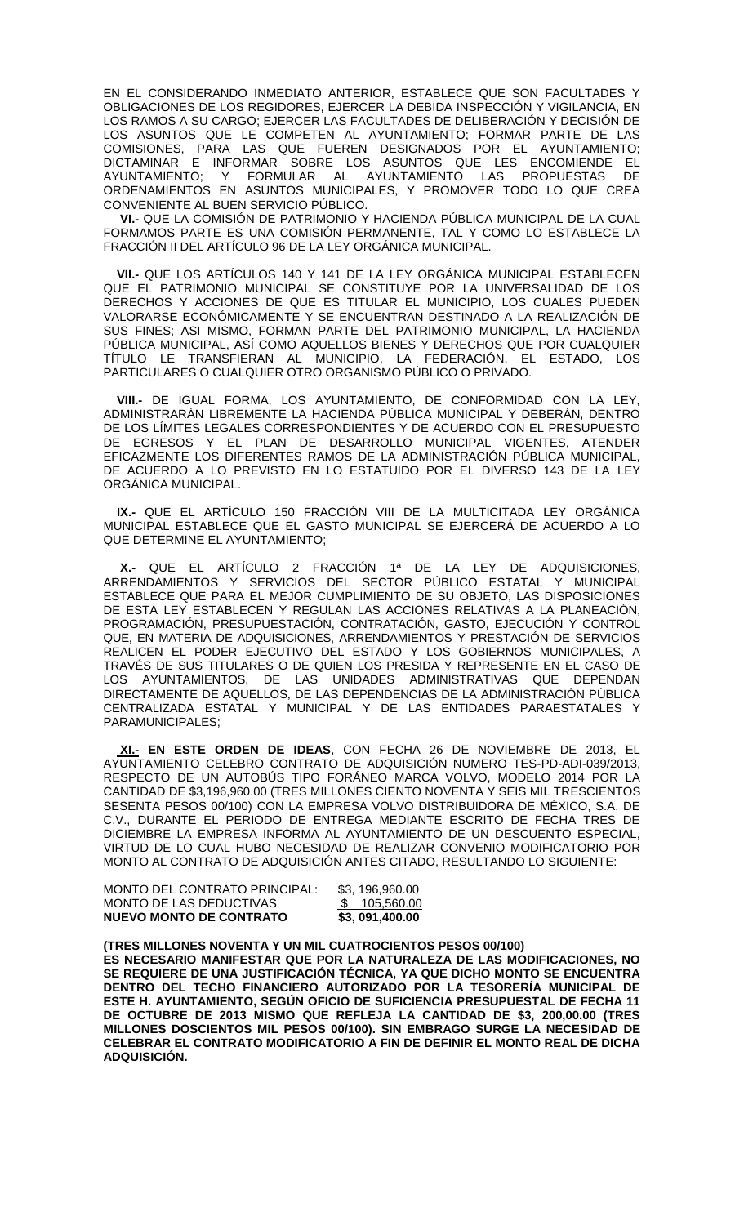EN EL CONSIDERANDO INMEDIATO ANTERIOR, ESTABLECE QUE SON FACULTADES Y OBLIGACIONES DE LOS REGIDORES, EJERCER LA DEBIDA INSPECCIÓN Y VIGILANCIA, EN LOS RAMOS A SU CARGO; EJERCER LAS FACULTADES DE DELIBERACIÓN Y DECISIÓN DE LOS ASUNTOS QUE LE COMPETEN AL AYUNTAMIENTO; FORMAR PARTE DE LAS COMISIONES, PARA LAS QUE FUEREN DESIGNADOS POR EL AYUNTAMIENTO; DICTAMINAR E INFORMAR SOBRE LOS ASUNTOS QUE LES ENCOMIENDE EL AYUNTAMIENTO; Y FORMULAR AL AYUNTAMIENTO LAS PROPUESTAS DE ORDENAMIENTOS EN ASUNTOS MUNICIPALES, Y PROMOVER TODO LO QUE CREA CONVENIENTE AL BUEN SERVICIO PÚBLICO.

 **VI.-** QUE LA COMISIÓN DE PATRIMONIO Y HACIENDA PÚBLICA MUNICIPAL DE LA CUAL FORMAMOS PARTE ES UNA COMISIÓN PERMANENTE, TAL Y COMO LO ESTABLECE LA FRACCIÓN II DEL ARTÍCULO 96 DE LA LEY ORGÁNICA MUNICIPAL.

 **VII.-** QUE LOS ARTÍCULOS 140 Y 141 DE LA LEY ORGÁNICA MUNICIPAL ESTABLECEN QUE EL PATRIMONIO MUNICIPAL SE CONSTITUYE POR LA UNIVERSALIDAD DE LOS DERECHOS Y ACCIONES DE QUE ES TITULAR EL MUNICIPIO, LOS CUALES PUEDEN VALORARSE ECONÓMICAMENTE Y SE ENCUENTRAN DESTINADO A LA REALIZACIÓN DE SUS FINES; ASI MISMO, FORMAN PARTE DEL PATRIMONIO MUNICIPAL, LA HACIENDA PÚBLICA MUNICIPAL, ASÍ COMO AQUELLOS BIENES Y DERECHOS QUE POR CUALQUIER TÍTULO LE TRANSFIERAN AL MUNICIPIO, LA FEDERACIÓN, EL ESTADO, LOS PARTICULARES O CUALQUIER OTRO ORGANISMO PÚBLICO O PRIVADO.

 **VIII.-** DE IGUAL FORMA, LOS AYUNTAMIENTO, DE CONFORMIDAD CON LA LEY, ADMINISTRARÁN LIBREMENTE LA HACIENDA PÚBLICA MUNICIPAL Y DEBERÁN, DENTRO DE LOS LÍMITES LEGALES CORRESPONDIENTES Y DE ACUERDO CON EL PRESUPUESTO DE EGRESOS Y EL PLAN DE DESARROLLO MUNICIPAL VIGENTES, ATENDER EFICAZMENTE LOS DIFERENTES RAMOS DE LA ADMINISTRACIÓN PÚBLICA MUNICIPAL, DE ACUERDO A LO PREVISTO EN LO ESTATUIDO POR EL DIVERSO 143 DE LA LEY ORGÁNICA MUNICIPAL.

 **IX.-** QUE EL ARTÍCULO 150 FRACCIÓN VIII DE LA MULTICITADA LEY ORGÁNICA MUNICIPAL ESTABLECE QUE EL GASTO MUNICIPAL SE EJERCERÁ DE ACUERDO A LO QUE DETERMINE EL AYUNTAMIENTO;

 **X.-** QUE EL ARTÍCULO 2 FRACCIÓN 1ª DE LA LEY DE ADQUISICIONES, ARRENDAMIENTOS Y SERVICIOS DEL SECTOR PÚBLICO ESTATAL Y MUNICIPAL ESTABLECE QUE PARA EL MEJOR CUMPLIMIENTO DE SU OBJETO, LAS DISPOSICIONES DE ESTA LEY ESTABLECEN Y REGULAN LAS ACCIONES RELATIVAS A LA PLANEACIÓN, PROGRAMACIÓN, PRESUPUESTACIÓN, CONTRATACIÓN, GASTO, EJECUCIÓN Y CONTROL QUE, EN MATERIA DE ADQUISICIONES, ARRENDAMIENTOS Y PRESTACIÓN DE SERVICIOS REALICEN EL PODER EJECUTIVO DEL ESTADO Y LOS GOBIERNOS MUNICIPALES, A TRAVÉS DE SUS TITULARES O DE QUIEN LOS PRESIDA Y REPRESENTE EN EL CASO DE LOS AYUNTAMIENTOS, DE LAS UNIDADES ADMINISTRATIVAS QUE DEPENDAN DIRECTAMENTE DE AQUELLOS, DE LAS DEPENDENCIAS DE LA ADMINISTRACIÓN PÚBLICA CENTRALIZADA ESTATAL Y MUNICIPAL Y DE LAS ENTIDADES PARAESTATALES Y PARAMUNICIPALES;

 **XI.- EN ESTE ORDEN DE IDEAS**, CON FECHA 26 DE NOVIEMBRE DE 2013, EL AYUNTAMIENTO CELEBRO CONTRATO DE ADQUISICIÓN NUMERO TES-PD-ADI-039/2013, RESPECTO DE UN AUTOBÚS TIPO FORÁNEO MARCA VOLVO, MODELO 2014 POR LA CANTIDAD DE \$3,196,960.00 (TRES MILLONES CIENTO NOVENTA Y SEIS MIL TRESCIENTOS SESENTA PESOS 00/100) CON LA EMPRESA VOLVO DISTRIBUIDORA DE MÉXICO, S.A. DE C.V., DURANTE EL PERIODO DE ENTREGA MEDIANTE ESCRITO DE FECHA TRES DE DICIEMBRE LA EMPRESA INFORMA AL AYUNTAMIENTO DE UN DESCUENTO ESPECIAL, VIRTUD DE LO CUAL HUBO NECESIDAD DE REALIZAR CONVENIO MODIFICATORIO POR MONTO AL CONTRATO DE ADQUISICIÓN ANTES CITADO, RESULTANDO LO SIGUIENTE:

**(TRES MILLONES NOVENTA Y UN MIL CUATROCIENTOS PESOS 00/100) ES NECESARIO MANIFESTAR QUE POR LA NATURALEZA DE LAS MODIFICACIONES, NO SE REQUIERE DE UNA JUSTIFICACIÓN TÉCNICA, YA QUE DICHO MONTO SE ENCUENTRA DENTRO DEL TECHO FINANCIERO AUTORIZADO POR LA TESORERÍA MUNICIPAL DE ESTE H. AYUNTAMIENTO, SEGÚN OFICIO DE SUFICIENCIA PRESUPUESTAL DE FECHA 11 DE OCTUBRE DE 2013 MISMO QUE REFLEJA LA CANTIDAD DE \$3, 200,00.00 (TRES MILLONES DOSCIENTOS MIL PESOS 00/100). SIN EMBRAGO SURGE LA NECESIDAD DE CELEBRAR EL CONTRATO MODIFICATORIO A FIN DE DEFINIR EL MONTO REAL DE DICHA ADQUISICIÓN.**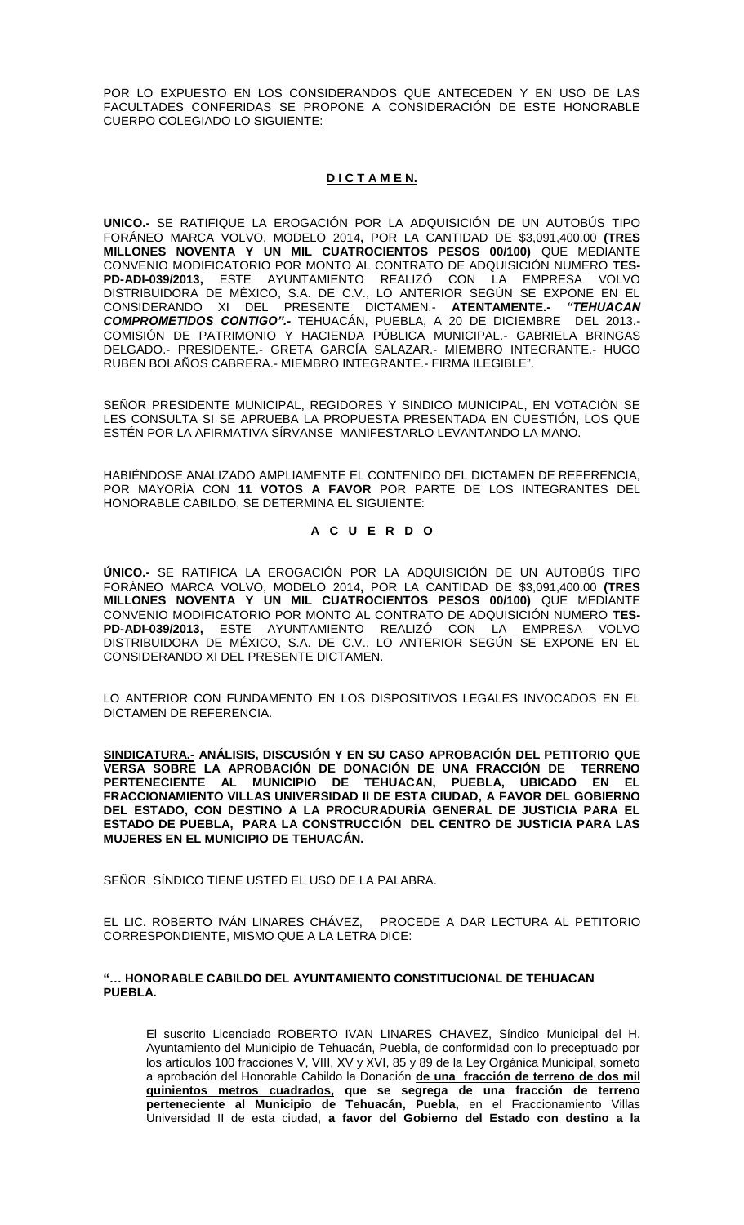POR LO EXPUESTO EN LOS CONSIDERANDOS QUE ANTECEDEN Y EN USO DE LAS FACULTADES CONFERIDAS SE PROPONE A CONSIDERACIÓN DE ESTE HONORABLE CUERPO COLEGIADO LO SIGUIENTE:

# **D I C T A M E N.**

**UNICO.-** SE RATIFIQUE LA EROGACIÓN POR LA ADQUISICIÓN DE UN AUTOBÚS TIPO FORÁNEO MARCA VOLVO, MODELO 2014**,** POR LA CANTIDAD DE \$3,091,400.00 **(TRES MILLONES NOVENTA Y UN MIL CUATROCIENTOS PESOS 00/100)** QUE MEDIANTE CONVENIO MODIFICATORIO POR MONTO AL CONTRATO DE ADQUISICIÓN NUMERO **TES-PD-ADI-039/2013,** ESTE AYUNTAMIENTO REALIZÓ CON LA EMPRESA VOLVO DISTRIBUIDORA DE MÉXICO, S.A. DE C.V., LO ANTERIOR SEGÚN SE EXPONE EN EL CONSIDERANDO XI DEL PRESENTE DICTAMEN.- **ATENTAMENTE.-** *"TEHUACAN COMPROMETIDOS CONTIGO".-* TEHUACÁN, PUEBLA, A 20 DE DICIEMBRE DEL 2013.- COMISIÓN DE PATRIMONIO Y HACIENDA PÚBLICA MUNICIPAL.- GABRIELA BRINGAS DELGADO.- PRESIDENTE.- GRETA GARCÍA SALAZAR.- MIEMBRO INTEGRANTE.- HUGO RUBEN BOLAÑOS CABRERA.- MIEMBRO INTEGRANTE.- FIRMA ILEGIBLE".

SEÑOR PRESIDENTE MUNICIPAL, REGIDORES Y SINDICO MUNICIPAL, EN VOTACIÓN SE LES CONSULTA SI SE APRUEBA LA PROPUESTA PRESENTADA EN CUESTIÓN, LOS QUE ESTÉN POR LA AFIRMATIVA SÍRVANSE MANIFESTARLO LEVANTANDO LA MANO.

HABIÉNDOSE ANALIZADO AMPLIAMENTE EL CONTENIDO DEL DICTAMEN DE REFERENCIA, POR MAYORÍA CON **11 VOTOS A FAVOR** POR PARTE DE LOS INTEGRANTES DEL HONORABLE CABILDO, SE DETERMINA EL SIGUIENTE:

### **A C U E R D O**

**ÚNICO.-** SE RATIFICA LA EROGACIÓN POR LA ADQUISICIÓN DE UN AUTOBÚS TIPO FORÁNEO MARCA VOLVO, MODELO 2014**,** POR LA CANTIDAD DE \$3,091,400.00 **(TRES MILLONES NOVENTA Y UN MIL CUATROCIENTOS PESOS 00/100)** QUE MEDIANTE CONVENIO MODIFICATORIO POR MONTO AL CONTRATO DE ADQUISICIÓN NUMERO **TES-PD-ADI-039/2013,** ESTE AYUNTAMIENTO REALIZÓ CON LA EMPRESA VOLVO DISTRIBUIDORA DE MÉXICO, S.A. DE C.V., LO ANTERIOR SEGÚN SE EXPONE EN EL CONSIDERANDO XI DEL PRESENTE DICTAMEN.

LO ANTERIOR CON FUNDAMENTO EN LOS DISPOSITIVOS LEGALES INVOCADOS EN EL DICTAMEN DE REFERENCIA.

**SINDICATURA.- ANÁLISIS, DISCUSIÓN Y EN SU CASO APROBACIÓN DEL PETITORIO QUE VERSA SOBRE LA APROBACIÓN DE DONACIÓN DE UNA FRACCIÓN DE TERRENO PERTENECIENTE AL MUNICIPIO DE TEHUACAN, PUEBLA, UBICADO EN EL FRACCIONAMIENTO VILLAS UNIVERSIDAD II DE ESTA CIUDAD, A FAVOR DEL GOBIERNO DEL ESTADO, CON DESTINO A LA PROCURADURÍA GENERAL DE JUSTICIA PARA EL ESTADO DE PUEBLA, PARA LA CONSTRUCCIÓN DEL CENTRO DE JUSTICIA PARA LAS MUJERES EN EL MUNICIPIO DE TEHUACÁN.** 

SEÑOR SÍNDICO TIENE USTED EL USO DE LA PALABRA.

EL LIC. ROBERTO IVÁN LINARES CHÁVEZ, PROCEDE A DAR LECTURA AL PETITORIO CORRESPONDIENTE, MISMO QUE A LA LETRA DICE:

### **"… HONORABLE CABILDO DEL AYUNTAMIENTO CONSTITUCIONAL DE TEHUACAN PUEBLA.**

El suscrito Licenciado ROBERTO IVAN LINARES CHAVEZ, Síndico Municipal del H. Ayuntamiento del Municipio de Tehuacán, Puebla, de conformidad con lo preceptuado por los artículos 100 fracciones V, VIII, XV y XVI, 85 y 89 de la Ley Orgánica Municipal, someto a aprobación del Honorable Cabildo la Donación **de una fracción de terreno de dos mil quinientos metros cuadrados, que se segrega de una fracción de terreno perteneciente al Municipio de Tehuacán, Puebla,** en el Fraccionamiento Villas Universidad II de esta ciudad, **a favor del Gobierno del Estado con destino a la**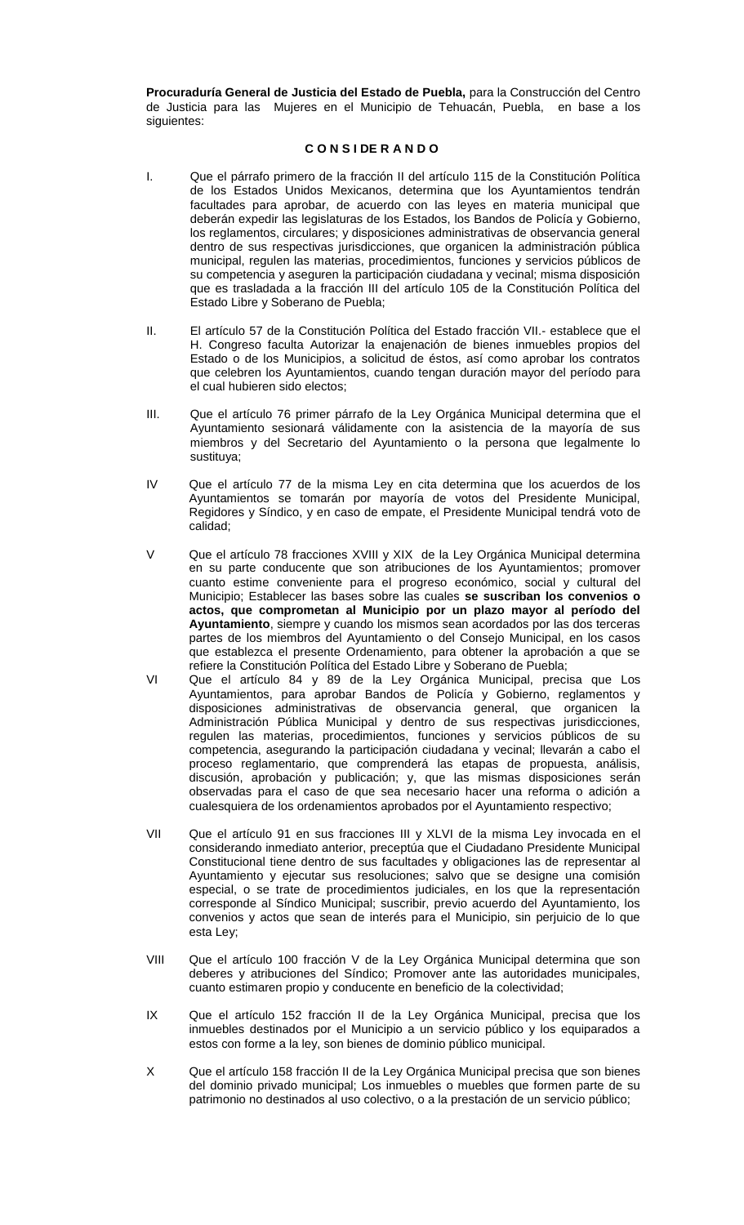**Procuraduría General de Justicia del Estado de Puebla,** para la Construcción del Centro de Justicia para las Mujeres en el Municipio de Tehuacán, Puebla, en base a los siguientes:

### **C O N S I DE R A N D O**

- I. Que el párrafo primero de la fracción II del artículo 115 de la Constitución Política de los Estados Unidos Mexicanos, determina que los Ayuntamientos tendrán facultades para aprobar, de acuerdo con las leyes en materia municipal que deberán expedir las legislaturas de los Estados, los Bandos de Policía y Gobierno, los reglamentos, circulares; y disposiciones administrativas de observancia general dentro de sus respectivas jurisdicciones, que organicen la administración pública municipal, regulen las materias, procedimientos, funciones y servicios públicos de su competencia y aseguren la participación ciudadana y vecinal; misma disposición que es trasladada a la fracción III del artículo 105 de la Constitución Política del Estado Libre y Soberano de Puebla;
- II. El artículo 57 de la Constitución Política del Estado fracción VII.- establece que el H. Congreso faculta Autorizar la enajenación de bienes inmuebles propios del Estado o de los Municipios, a solicitud de éstos, así como aprobar los contratos que celebren los Ayuntamientos, cuando tengan duración mayor del período para el cual hubieren sido electos;
- III. Que el artículo 76 primer párrafo de la Ley Orgánica Municipal determina que el Ayuntamiento sesionará válidamente con la asistencia de la mayoría de sus miembros y del Secretario del Ayuntamiento o la persona que legalmente lo sustituya;
- IV Que el artículo 77 de la misma Ley en cita determina que los acuerdos de los Ayuntamientos se tomarán por mayoría de votos del Presidente Municipal, Regidores y Síndico, y en caso de empate, el Presidente Municipal tendrá voto de calidad;
- V Que el artículo 78 fracciones XVIII y XIX de la Ley Orgánica Municipal determina en su parte conducente que son atribuciones de los Ayuntamientos; promover cuanto estime conveniente para el progreso económico, social y cultural del Municipio; Establecer las bases sobre las cuales **se suscriban los convenios o actos, que comprometan al Municipio por un plazo mayor al período del Ayuntamiento**, siempre y cuando los mismos sean acordados por las dos terceras partes de los miembros del Ayuntamiento o del Consejo Municipal, en los casos que establezca el presente Ordenamiento, para obtener la aprobación a que se refiere la Constitución Política del Estado Libre y Soberano de Puebla;
- VI Que el artículo 84 y 89 de la Ley Orgánica Municipal, precisa que Los Ayuntamientos, para aprobar Bandos de Policía y Gobierno, reglamentos y disposiciones administrativas de observancia general, que organicen la Administración Pública Municipal y dentro de sus respectivas jurisdicciones, regulen las materias, procedimientos, funciones y servicios públicos de su competencia, asegurando la participación ciudadana y vecinal; llevarán a cabo el proceso reglamentario, que comprenderá las etapas de propuesta, análisis, discusión, aprobación y publicación; y, que las mismas disposiciones serán observadas para el caso de que sea necesario hacer una reforma o adición a cualesquiera de los ordenamientos aprobados por el Ayuntamiento respectivo;
- VII Que el artículo 91 en sus fracciones III y XLVI de la misma Ley invocada en el considerando inmediato anterior, preceptúa que el Ciudadano Presidente Municipal Constitucional tiene dentro de sus facultades y obligaciones las de representar al Ayuntamiento y ejecutar sus resoluciones; salvo que se designe una comisión especial, o se trate de procedimientos judiciales, en los que la representación corresponde al Síndico Municipal; suscribir, previo acuerdo del Ayuntamiento, los convenios y actos que sean de interés para el Municipio, sin perjuicio de lo que esta Ley;
- VIII Que el artículo 100 fracción V de la Ley Orgánica Municipal determina que son deberes y atribuciones del Síndico; Promover ante las autoridades municipales, cuanto estimaren propio y conducente en beneficio de la colectividad;
- IX Que el artículo 152 fracción II de la Ley Orgánica Municipal, precisa que los inmuebles destinados por el Municipio a un servicio público y los equiparados a estos con forme a la ley, son bienes de dominio público municipal.
- X Que el artículo 158 fracción II de la Ley Orgánica Municipal precisa que son bienes del dominio privado municipal; Los inmuebles o muebles que formen parte de su patrimonio no destinados al uso colectivo, o a la prestación de un servicio público;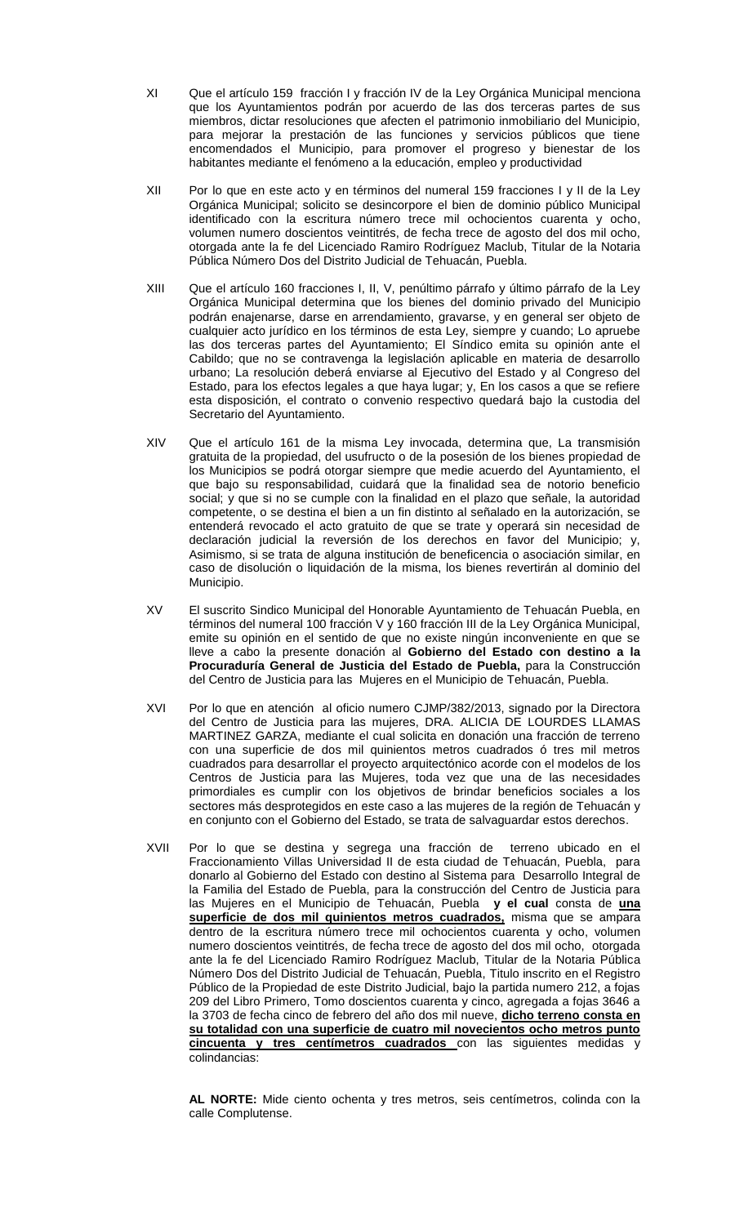- XI Que el artículo 159 fracción I y fracción IV de la Ley Orgánica Municipal menciona que los Ayuntamientos podrán por acuerdo de las dos terceras partes de sus miembros, dictar resoluciones que afecten el patrimonio inmobiliario del Municipio, para mejorar la prestación de las funciones y servicios públicos que tiene encomendados el Municipio, para promover el progreso y bienestar de los habitantes mediante el fenómeno a la educación, empleo y productividad
- XII Por lo que en este acto y en términos del numeral 159 fracciones I y II de la Ley Orgánica Municipal; solicito se desincorpore el bien de dominio público Municipal identificado con la escritura número trece mil ochocientos cuarenta y ocho, volumen numero doscientos veintitrés, de fecha trece de agosto del dos mil ocho, otorgada ante la fe del Licenciado Ramiro Rodríguez Maclub, Titular de la Notaria Pública Número Dos del Distrito Judicial de Tehuacán, Puebla.
- XIII Que el artículo 160 fracciones I, II, V, penúltimo párrafo y último párrafo de la Ley Orgánica Municipal determina que los bienes del dominio privado del Municipio podrán enajenarse, darse en arrendamiento, gravarse, y en general ser objeto de cualquier acto jurídico en los términos de esta Ley, siempre y cuando; Lo apruebe las dos terceras partes del Ayuntamiento; El Síndico emita su opinión ante el Cabildo; que no se contravenga la legislación aplicable en materia de desarrollo urbano; La resolución deberá enviarse al Ejecutivo del Estado y al Congreso del Estado, para los efectos legales a que haya lugar; y, En los casos a que se refiere esta disposición, el contrato o convenio respectivo quedará bajo la custodia del Secretario del Ayuntamiento.
- XIV Que el artículo 161 de la misma Ley invocada, determina que, La transmisión gratuita de la propiedad, del usufructo o de la posesión de los bienes propiedad de los Municipios se podrá otorgar siempre que medie acuerdo del Ayuntamiento, el que bajo su responsabilidad, cuidará que la finalidad sea de notorio beneficio social; y que si no se cumple con la finalidad en el plazo que señale, la autoridad competente, o se destina el bien a un fin distinto al señalado en la autorización, se entenderá revocado el acto gratuito de que se trate y operará sin necesidad de declaración judicial la reversión de los derechos en favor del Municipio; y, Asimismo, si se trata de alguna institución de beneficencia o asociación similar, en caso de disolución o liquidación de la misma, los bienes revertirán al dominio del Municipio.
- XV El suscrito Sindico Municipal del Honorable Ayuntamiento de Tehuacán Puebla, en términos del numeral 100 fracción V y 160 fracción III de la Ley Orgánica Municipal, emite su opinión en el sentido de que no existe ningún inconveniente en que se lleve a cabo la presente donación al **Gobierno del Estado con destino a la Procuraduría General de Justicia del Estado de Puebla,** para la Construcción del Centro de Justicia para las Mujeres en el Municipio de Tehuacán, Puebla.
- XVI Por lo que en atención al oficio numero CJMP/382/2013, signado por la Directora del Centro de Justicia para las mujeres, DRA. ALICIA DE LOURDES LLAMAS MARTINEZ GARZA, mediante el cual solicita en donación una fracción de terreno con una superficie de dos mil quinientos metros cuadrados ó tres mil metros cuadrados para desarrollar el proyecto arquitectónico acorde con el modelos de los Centros de Justicia para las Mujeres, toda vez que una de las necesidades primordiales es cumplir con los objetivos de brindar beneficios sociales a los sectores más desprotegidos en este caso a las mujeres de la región de Tehuacán y en conjunto con el Gobierno del Estado, se trata de salvaguardar estos derechos.
- XVII Por lo que se destina y segrega una fracción de terreno ubicado en el Fraccionamiento Villas Universidad II de esta ciudad de Tehuacán, Puebla, para donarlo al Gobierno del Estado con destino al Sistema para Desarrollo Integral de la Familia del Estado de Puebla, para la construcción del Centro de Justicia para las Mujeres en el Municipio de Tehuacán, Puebla **y el cual** consta de **una superficie de dos mil quinientos metros cuadrados,** misma que se ampara dentro de la escritura número trece mil ochocientos cuarenta y ocho, volumen numero doscientos veintitrés, de fecha trece de agosto del dos mil ocho, otorgada ante la fe del Licenciado Ramiro Rodríguez Maclub, Titular de la Notaria Pública Número Dos del Distrito Judicial de Tehuacán, Puebla, Titulo inscrito en el Registro Público de la Propiedad de este Distrito Judicial, bajo la partida numero 212, a fojas 209 del Libro Primero, Tomo doscientos cuarenta y cinco, agregada a fojas 3646 a la 3703 de fecha cinco de febrero del año dos mil nueve, **dicho terreno consta en su totalidad con una superficie de cuatro mil novecientos ocho metros punto cincuenta y tres centímetros cuadrados** con las siguientes medidas y colindancias:

**AL NORTE:** Mide ciento ochenta y tres metros, seis centímetros, colinda con la calle Complutense.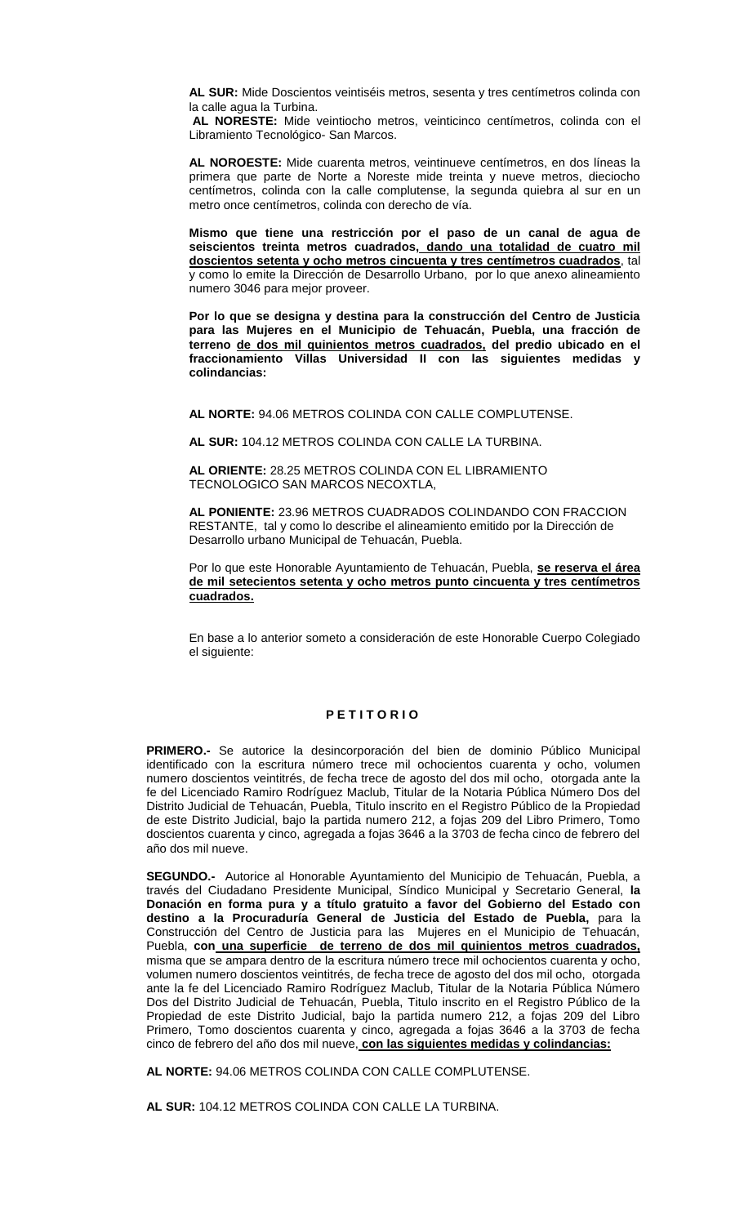**AL SUR:** Mide Doscientos veintiséis metros, sesenta y tres centímetros colinda con la calle agua la Turbina.

**AL NORESTE:** Mide veintiocho metros, veinticinco centímetros, colinda con el Libramiento Tecnológico- San Marcos.

**AL NOROESTE:** Mide cuarenta metros, veintinueve centímetros, en dos líneas la primera que parte de Norte a Noreste mide treinta y nueve metros, dieciocho centímetros, colinda con la calle complutense, la segunda quiebra al sur en un metro once centímetros, colinda con derecho de vía.

**Mismo que tiene una restricción por el paso de un canal de agua de seiscientos treinta metros cuadrados, dando una totalidad de cuatro mil doscientos setenta y ocho metros cincuenta y tres centímetros cuadrados**, tal y como lo emite la Dirección de Desarrollo Urbano, por lo que anexo alineamiento numero 3046 para mejor proveer.

**Por lo que se designa y destina para la construcción del Centro de Justicia para las Mujeres en el Municipio de Tehuacán, Puebla, una fracción de terreno de dos mil quinientos metros cuadrados, del predio ubicado en el fraccionamiento Villas Universidad II con las siguientes medidas y colindancias:**

**AL NORTE:** 94.06 METROS COLINDA CON CALLE COMPLUTENSE.

**AL SUR:** 104.12 METROS COLINDA CON CALLE LA TURBINA.

**AL ORIENTE:** 28.25 METROS COLINDA CON EL LIBRAMIENTO TECNOLOGICO SAN MARCOS NECOXTLA,

**AL PONIENTE:** 23.96 METROS CUADRADOS COLINDANDO CON FRACCION RESTANTE, tal y como lo describe el alineamiento emitido por la Dirección de Desarrollo urbano Municipal de Tehuacán, Puebla.

Por lo que este Honorable Ayuntamiento de Tehuacán, Puebla, **se reserva el área de mil setecientos setenta y ocho metros punto cincuenta y tres centímetros cuadrados.**

En base a lo anterior someto a consideración de este Honorable Cuerpo Colegiado el siguiente:

### **P E T I T O R I O**

**PRIMERO.-** Se autorice la desincorporación del bien de dominio Público Municipal identificado con la escritura número trece mil ochocientos cuarenta y ocho, volumen numero doscientos veintitrés, de fecha trece de agosto del dos mil ocho, otorgada ante la fe del Licenciado Ramiro Rodríguez Maclub, Titular de la Notaria Pública Número Dos del Distrito Judicial de Tehuacán, Puebla, Titulo inscrito en el Registro Público de la Propiedad de este Distrito Judicial, bajo la partida numero 212, a fojas 209 del Libro Primero, Tomo doscientos cuarenta y cinco, agregada a fojas 3646 a la 3703 de fecha cinco de febrero del año dos mil nueve.

**SEGUNDO.-** Autorice al Honorable Ayuntamiento del Municipio de Tehuacán, Puebla, a través del Ciudadano Presidente Municipal, Síndico Municipal y Secretario General, **la Donación en forma pura y a título gratuito a favor del Gobierno del Estado con destino a la Procuraduría General de Justicia del Estado de Puebla,** para la Construcción del Centro de Justicia para las Mujeres en el Municipio de Tehuacán, Puebla, **con una superficie de terreno de dos mil quinientos metros cuadrados,** misma que se ampara dentro de la escritura número trece mil ochocientos cuarenta y ocho, volumen numero doscientos veintitrés, de fecha trece de agosto del dos mil ocho, otorgada ante la fe del Licenciado Ramiro Rodríguez Maclub, Titular de la Notaria Pública Número Dos del Distrito Judicial de Tehuacán, Puebla, Titulo inscrito en el Registro Público de la Propiedad de este Distrito Judicial, bajo la partida numero 212, a fojas 209 del Libro Primero, Tomo doscientos cuarenta y cinco, agregada a fojas 3646 a la 3703 de fecha cinco de febrero del año dos mil nueve, **con las siguientes medidas y colindancias:**

**AL NORTE:** 94.06 METROS COLINDA CON CALLE COMPLUTENSE.

**AL SUR:** 104.12 METROS COLINDA CON CALLE LA TURBINA.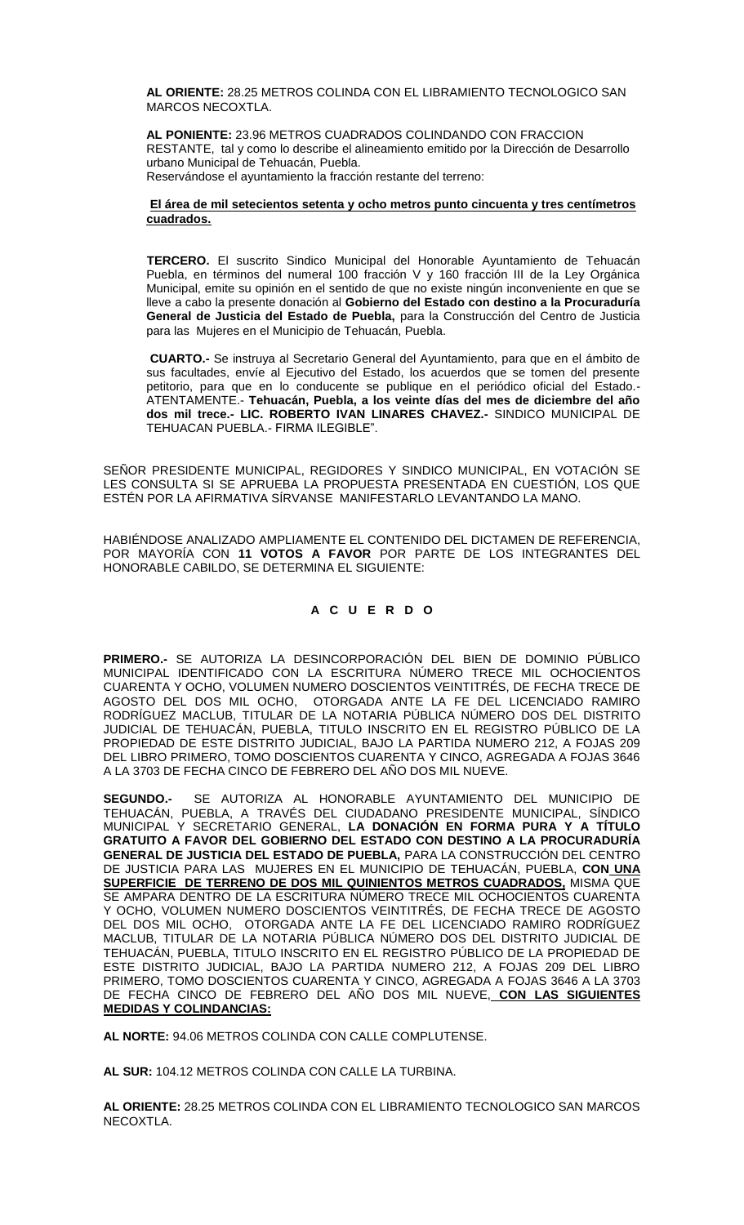**AL ORIENTE:** 28.25 METROS COLINDA CON EL LIBRAMIENTO TECNOLOGICO SAN MARCOS NECOXTLA.

**AL PONIENTE:** 23.96 METROS CUADRADOS COLINDANDO CON FRACCION RESTANTE, tal y como lo describe el alineamiento emitido por la Dirección de Desarrollo urbano Municipal de Tehuacán, Puebla.

Reservándose el ayuntamiento la fracción restante del terreno:

### **El área de mil setecientos setenta y ocho metros punto cincuenta y tres centímetros cuadrados.**

**TERCERO.** El suscrito Sindico Municipal del Honorable Ayuntamiento de Tehuacán Puebla, en términos del numeral 100 fracción V y 160 fracción III de la Ley Orgánica Municipal, emite su opinión en el sentido de que no existe ningún inconveniente en que se lleve a cabo la presente donación al **Gobierno del Estado con destino a la Procuraduría General de Justicia del Estado de Puebla,** para la Construcción del Centro de Justicia para las Mujeres en el Municipio de Tehuacán, Puebla.

**CUARTO.-** Se instruya al Secretario General del Ayuntamiento, para que en el ámbito de sus facultades, envíe al Ejecutivo del Estado, los acuerdos que se tomen del presente petitorio, para que en lo conducente se publique en el periódico oficial del Estado.- ATENTAMENTE.- **Tehuacán, Puebla, a los veinte días del mes de diciembre del año dos mil trece.- LIC. ROBERTO IVAN LINARES CHAVEZ.-** SINDICO MUNICIPAL DE TEHUACAN PUEBLA.- FIRMA ILEGIBLE".

SEÑOR PRESIDENTE MUNICIPAL, REGIDORES Y SINDICO MUNICIPAL, EN VOTACIÓN SE LES CONSULTA SI SE APRUEBA LA PROPUESTA PRESENTADA EN CUESTIÓN, LOS QUE ESTÉN POR LA AFIRMATIVA SÍRVANSE MANIFESTARLO LEVANTANDO LA MANO.

HABIÉNDOSE ANALIZADO AMPLIAMENTE EL CONTENIDO DEL DICTAMEN DE REFERENCIA, POR MAYORÍA CON **11 VOTOS A FAVOR** POR PARTE DE LOS INTEGRANTES DEL HONORABLE CABILDO, SE DETERMINA EL SIGUIENTE:

# **A C U E R D O**

**PRIMERO.-** SE AUTORIZA LA DESINCORPORACIÓN DEL BIEN DE DOMINIO PÚBLICO MUNICIPAL IDENTIFICADO CON LA ESCRITURA NÚMERO TRECE MIL OCHOCIENTOS CUARENTA Y OCHO, VOLUMEN NUMERO DOSCIENTOS VEINTITRÉS, DE FECHA TRECE DE AGOSTO DEL DOS MIL OCHO, OTORGADA ANTE LA FE DEL LICENCIADO RAMIRO RODRÍGUEZ MACLUB, TITULAR DE LA NOTARIA PÚBLICA NÚMERO DOS DEL DISTRITO JUDICIAL DE TEHUACÁN, PUEBLA, TITULO INSCRITO EN EL REGISTRO PÚBLICO DE LA PROPIEDAD DE ESTE DISTRITO JUDICIAL, BAJO LA PARTIDA NUMERO 212, A FOJAS 209 DEL LIBRO PRIMERO, TOMO DOSCIENTOS CUARENTA Y CINCO, AGREGADA A FOJAS 3646 A LA 3703 DE FECHA CINCO DE FEBRERO DEL AÑO DOS MIL NUEVE.

**SEGUNDO.-** SE AUTORIZA AL HONORABLE AYUNTAMIENTO DEL MUNICIPIO DE TEHUACÁN, PUEBLA, A TRAVÉS DEL CIUDADANO PRESIDENTE MUNICIPAL, SÍNDICO MUNICIPAL Y SECRETARIO GENERAL, **LA DONACIÓN EN FORMA PURA Y A TÍTULO GRATUITO A FAVOR DEL GOBIERNO DEL ESTADO CON DESTINO A LA PROCURADURÍA GENERAL DE JUSTICIA DEL ESTADO DE PUEBLA,** PARA LA CONSTRUCCIÓN DEL CENTRO DE JUSTICIA PARA LAS MUJERES EN EL MUNICIPIO DE TEHUACÁN, PUEBLA, **CON UNA SUPERFICIE DE TERRENO DE DOS MIL QUINIENTOS METROS CUADRADOS,** MISMA QUE SE AMPARA DENTRO DE LA ESCRITURA NÚMERO TRECE MIL OCHOCIENTOS CUARENTA Y OCHO, VOLUMEN NUMERO DOSCIENTOS VEINTITRÉS, DE FECHA TRECE DE AGOSTO DEL DOS MIL OCHO, OTORGADA ANTE LA FE DEL LICENCIADO RAMIRO RODRÍGUEZ MACLUB, TITULAR DE LA NOTARIA PÚBLICA NÚMERO DOS DEL DISTRITO JUDICIAL DE TEHUACÁN, PUEBLA, TITULO INSCRITO EN EL REGISTRO PÚBLICO DE LA PROPIEDAD DE ESTE DISTRITO JUDICIAL, BAJO LA PARTIDA NUMERO 212, A FOJAS 209 DEL LIBRO PRIMERO, TOMO DOSCIENTOS CUARENTA Y CINCO, AGREGADA A FOJAS 3646 A LA 3703 DE FECHA CINCO DE FEBRERO DEL AÑO DOS MIL NUEVE, **CON LAS SIGUIENTES MEDIDAS Y COLINDANCIAS:**

**AL NORTE:** 94.06 METROS COLINDA CON CALLE COMPLUTENSE.

**AL SUR:** 104.12 METROS COLINDA CON CALLE LA TURBINA.

**AL ORIENTE:** 28.25 METROS COLINDA CON EL LIBRAMIENTO TECNOLOGICO SAN MARCOS NECOXTLA.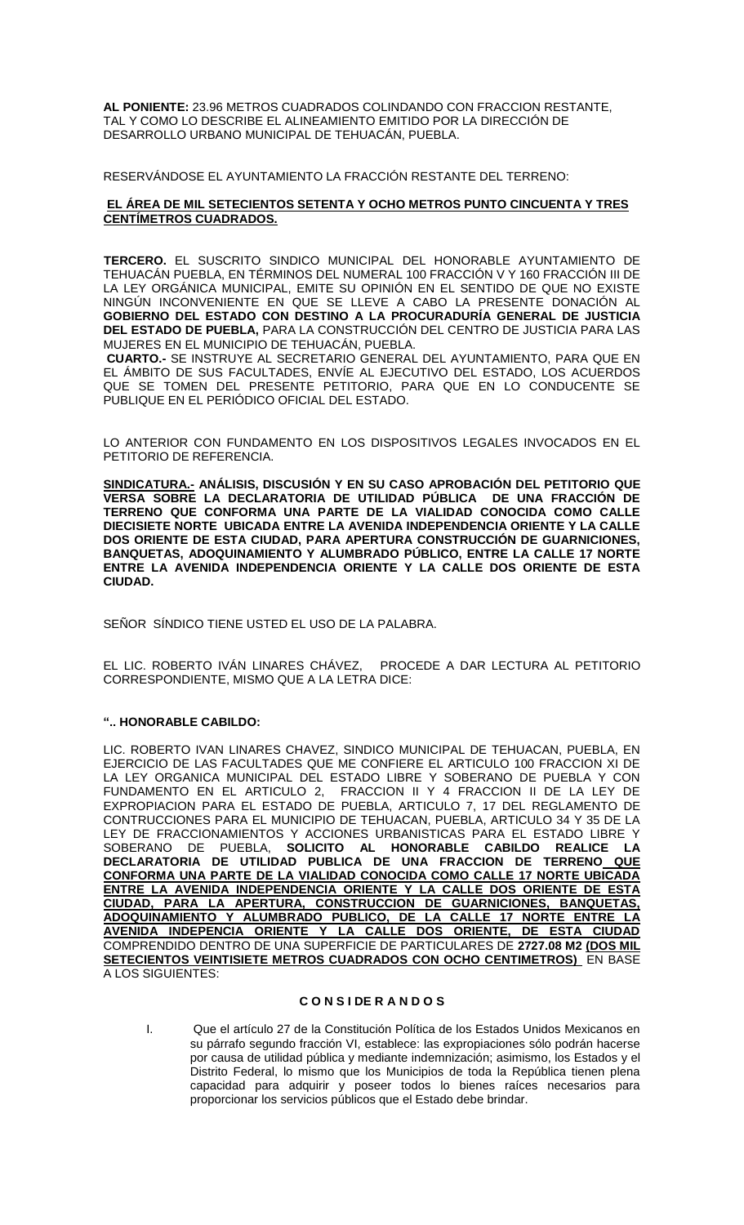**AL PONIENTE:** 23.96 METROS CUADRADOS COLINDANDO CON FRACCION RESTANTE, TAL Y COMO LO DESCRIBE EL ALINEAMIENTO EMITIDO POR LA DIRECCIÓN DE DESARROLLO URBANO MUNICIPAL DE TEHUACÁN, PUEBLA.

RESERVÁNDOSE EL AYUNTAMIENTO LA FRACCIÓN RESTANTE DEL TERRENO:

### **EL ÁREA DE MIL SETECIENTOS SETENTA Y OCHO METROS PUNTO CINCUENTA Y TRES CENTÍMETROS CUADRADOS.**

**TERCERO.** EL SUSCRITO SINDICO MUNICIPAL DEL HONORABLE AYUNTAMIENTO DE TEHUACÁN PUEBLA, EN TÉRMINOS DEL NUMERAL 100 FRACCIÓN V Y 160 FRACCIÓN III DE LA LEY ORGÁNICA MUNICIPAL, EMITE SU OPINIÓN EN EL SENTIDO DE QUE NO EXISTE NINGÚN INCONVENIENTE EN QUE SE LLEVE A CABO LA PRESENTE DONACIÓN AL **GOBIERNO DEL ESTADO CON DESTINO A LA PROCURADURÍA GENERAL DE JUSTICIA DEL ESTADO DE PUEBLA,** PARA LA CONSTRUCCIÓN DEL CENTRO DE JUSTICIA PARA LAS MUJERES EN EL MUNICIPIO DE TEHUACÁN, PUEBLA.

**CUARTO.-** SE INSTRUYE AL SECRETARIO GENERAL DEL AYUNTAMIENTO, PARA QUE EN EL ÁMBITO DE SUS FACULTADES, ENVÍE AL EJECUTIVO DEL ESTADO, LOS ACUERDOS QUE SE TOMEN DEL PRESENTE PETITORIO, PARA QUE EN LO CONDUCENTE SE PUBLIQUE EN EL PERIÓDICO OFICIAL DEL ESTADO.

LO ANTERIOR CON FUNDAMENTO EN LOS DISPOSITIVOS LEGALES INVOCADOS EN EL PETITORIO DE REFERENCIA.

**SINDICATURA.- ANÁLISIS, DISCUSIÓN Y EN SU CASO APROBACIÓN DEL PETITORIO QUE VERSA SOBRE LA DECLARATORIA DE UTILIDAD PÚBLICA DE UNA FRACCIÓN DE TERRENO QUE CONFORMA UNA PARTE DE LA VIALIDAD CONOCIDA COMO CALLE DIECISIETE NORTE UBICADA ENTRE LA AVENIDA INDEPENDENCIA ORIENTE Y LA CALLE DOS ORIENTE DE ESTA CIUDAD, PARA APERTURA CONSTRUCCIÓN DE GUARNICIONES, BANQUETAS, ADOQUINAMIENTO Y ALUMBRADO PÚBLICO, ENTRE LA CALLE 17 NORTE ENTRE LA AVENIDA INDEPENDENCIA ORIENTE Y LA CALLE DOS ORIENTE DE ESTA CIUDAD.**

SEÑOR SÍNDICO TIENE USTED EL USO DE LA PALABRA.

EL LIC. ROBERTO IVÁN LINARES CHÁVEZ, PROCEDE A DAR LECTURA AL PETITORIO CORRESPONDIENTE, MISMO QUE A LA LETRA DICE:

### **".. HONORABLE CABILDO:**

LIC. ROBERTO IVAN LINARES CHAVEZ, SINDICO MUNICIPAL DE TEHUACAN, PUEBLA, EN EJERCICIO DE LAS FACULTADES QUE ME CONFIERE EL ARTICULO 100 FRACCION XI DE LA LEY ORGANICA MUNICIPAL DEL ESTADO LIBRE Y SOBERANO DE PUEBLA Y CON FUNDAMENTO EN EL ARTICULO 2, FRACCION II Y 4 FRACCION II DE LA LEY DE EXPROPIACION PARA EL ESTADO DE PUEBLA, ARTICULO 7, 17 DEL REGLAMENTO DE CONTRUCCIONES PARA EL MUNICIPIO DE TEHUACAN, PUEBLA, ARTICULO 34 Y 35 DE LA LEY DE FRACCIONAMIENTOS Y ACCIONES URBANISTICAS PARA EL ESTADO LIBRE Y SOBERANO DE PUEBLA, **SOLICITO AL HONORABLE CABILDO REALICE LA DECLARATORIA DE UTILIDAD PUBLICA DE UNA FRACCION DE TERRENO QUE CONFORMA UNA PARTE DE LA VIALIDAD CONOCIDA COMO CALLE 17 NORTE UBICADA ENTRE LA AVENIDA INDEPENDENCIA ORIENTE Y LA CALLE DOS ORIENTE DE ESTA CIUDAD, PARA LA APERTURA, CONSTRUCCION DE GUARNICIONES, BANQUETAS, ADOQUINAMIENTO Y ALUMBRADO PUBLICO, DE LA CALLE 17 NORTE ENTRE LA AVENIDA INDEPENCIA ORIENTE Y LA CALLE DOS ORIENTE, DE ESTA CIUDAD** COMPRENDIDO DENTRO DE UNA SUPERFICIE DE PARTICULARES DE **2727.08 M2 (DOS MIL SETECIENTOS VEINTISIETE METROS CUADRADOS CON OCHO CENTIMETROS)** EN BASE A LOS SIGUIENTES:

### **C O N S I DE R A N D O S**

I. Que el artículo 27 de la Constitución Política de los Estados Unidos Mexicanos en su párrafo segundo fracción VI, establece: las expropiaciones sólo podrán hacerse por causa de utilidad pública y mediante indemnización; asimismo, los Estados y el Distrito Federal, lo mismo que los Municipios de toda la República tienen plena capacidad para adquirir y poseer todos lo bienes raíces necesarios para proporcionar los servicios públicos que el Estado debe brindar.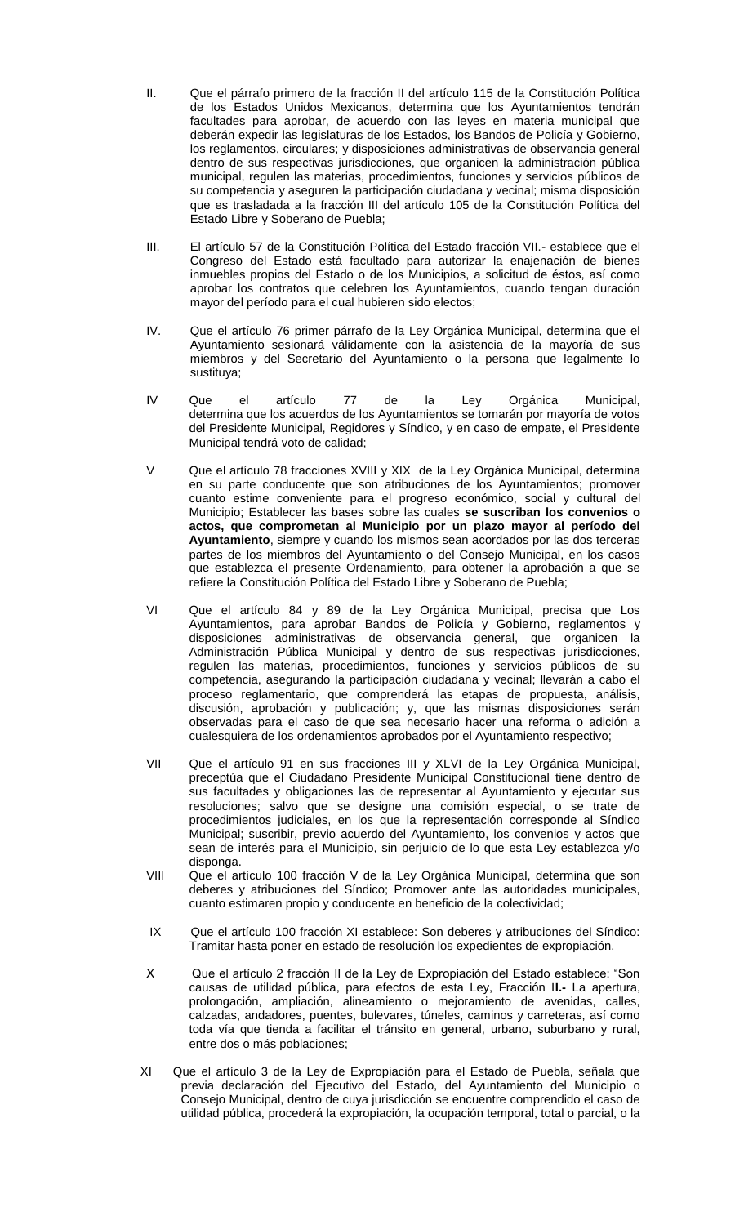- II. Que el párrafo primero de la fracción II del artículo 115 de la Constitución Política de los Estados Unidos Mexicanos, determina que los Ayuntamientos tendrán facultades para aprobar, de acuerdo con las leyes en materia municipal que deberán expedir las legislaturas de los Estados, los Bandos de Policía y Gobierno, los reglamentos, circulares; y disposiciones administrativas de observancia general dentro de sus respectivas jurisdicciones, que organicen la administración pública municipal, regulen las materias, procedimientos, funciones y servicios públicos de su competencia y aseguren la participación ciudadana y vecinal; misma disposición que es trasladada a la fracción III del artículo 105 de la Constitución Política del Estado Libre y Soberano de Puebla;
- III. El artículo 57 de la Constitución Política del Estado fracción VII.- establece que el Congreso del Estado está facultado para autorizar la enajenación de bienes inmuebles propios del Estado o de los Municipios, a solicitud de éstos, así como aprobar los contratos que celebren los Ayuntamientos, cuando tengan duración mayor del período para el cual hubieren sido electos;
- IV. Que el artículo 76 primer párrafo de la Ley Orgánica Municipal, determina que el Ayuntamiento sesionará válidamente con la asistencia de la mayoría de sus miembros y del Secretario del Ayuntamiento o la persona que legalmente lo sustituya;
- IV Que el artículo 77 de la Ley Orgánica Municipal, determina que los acuerdos de los Ayuntamientos se tomarán por mayoría de votos del Presidente Municipal, Regidores y Síndico, y en caso de empate, el Presidente Municipal tendrá voto de calidad;
- V Que el artículo 78 fracciones XVIII y XIX de la Ley Orgánica Municipal, determina en su parte conducente que son atribuciones de los Ayuntamientos; promover cuanto estime conveniente para el progreso económico, social y cultural del Municipio; Establecer las bases sobre las cuales **se suscriban los convenios o actos, que comprometan al Municipio por un plazo mayor al período del Ayuntamiento**, siempre y cuando los mismos sean acordados por las dos terceras partes de los miembros del Ayuntamiento o del Consejo Municipal, en los casos que establezca el presente Ordenamiento, para obtener la aprobación a que se refiere la Constitución Política del Estado Libre y Soberano de Puebla;
- VI Que el artículo 84 y 89 de la Ley Orgánica Municipal, precisa que Los Ayuntamientos, para aprobar Bandos de Policía y Gobierno, reglamentos y disposiciones administrativas de observancia general, que organicen la Administración Pública Municipal y dentro de sus respectivas jurisdicciones, regulen las materias, procedimientos, funciones y servicios públicos de su competencia, asegurando la participación ciudadana y vecinal; llevarán a cabo el proceso reglamentario, que comprenderá las etapas de propuesta, análisis, discusión, aprobación y publicación; y, que las mismas disposiciones serán observadas para el caso de que sea necesario hacer una reforma o adición a cualesquiera de los ordenamientos aprobados por el Ayuntamiento respectivo;
- VII Que el artículo 91 en sus fracciones III y XLVI de la Ley Orgánica Municipal, preceptúa que el Ciudadano Presidente Municipal Constitucional tiene dentro de sus facultades y obligaciones las de representar al Ayuntamiento y ejecutar sus resoluciones; salvo que se designe una comisión especial, o se trate de procedimientos judiciales, en los que la representación corresponde al Síndico Municipal; suscribir, previo acuerdo del Ayuntamiento, los convenios y actos que sean de interés para el Municipio, sin perjuicio de lo que esta Ley establezca y/o disponga.
- VIII Que el artículo 100 fracción V de la Ley Orgánica Municipal, determina que son deberes y atribuciones del Síndico; Promover ante las autoridades municipales, cuanto estimaren propio y conducente en beneficio de la colectividad;
- IX Que el artículo 100 fracción XI establece: Son deberes y atribuciones del Síndico: Tramitar hasta poner en estado de resolución los expedientes de expropiación.
- X Que el artículo 2 fracción II de la Ley de Expropiación del Estado establece: "Son causas de utilidad pública, para efectos de esta Ley, Fracción I**I.-** La apertura, prolongación, ampliación, alineamiento o mejoramiento de avenidas, calles, calzadas, andadores, puentes, bulevares, túneles, caminos y carreteras, así como toda vía que tienda a facilitar el tránsito en general, urbano, suburbano y rural, entre dos o más poblaciones;
- XI Que el artículo 3 de la Ley de Expropiación para el Estado de Puebla, señala que previa declaración del Ejecutivo del Estado, del Ayuntamiento del Municipio o Consejo Municipal, dentro de cuya jurisdicción se encuentre comprendido el caso de utilidad pública, procederá la expropiación, la ocupación temporal, total o parcial, o la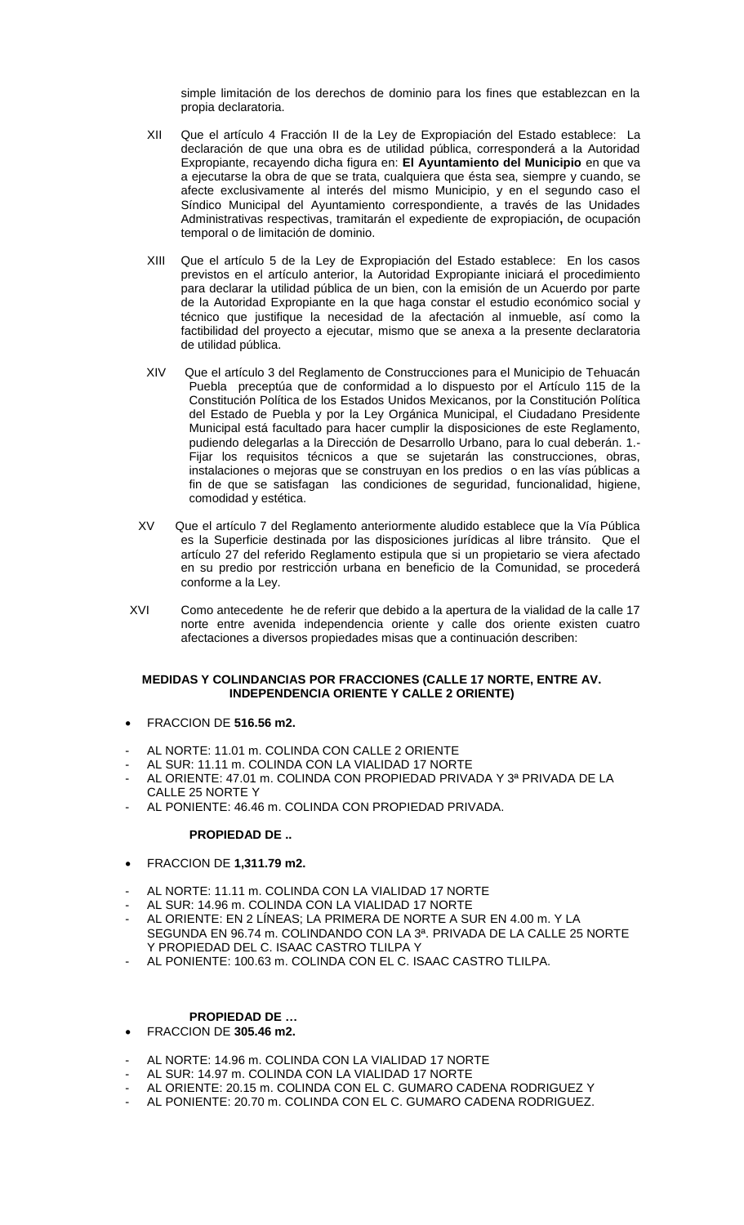simple limitación de los derechos de dominio para los fines que establezcan en la propia declaratoria.

- XII Que el artículo 4 Fracción II de la Ley de Expropiación del Estado establece: La declaración de que una obra es de utilidad pública, corresponderá a la Autoridad Expropiante, recayendo dicha figura en: **El Ayuntamiento del Municipio** en que va a ejecutarse la obra de que se trata, cualquiera que ésta sea, siempre y cuando, se afecte exclusivamente al interés del mismo Municipio, y en el segundo caso el Síndico Municipal del Ayuntamiento correspondiente, a través de las Unidades Administrativas respectivas, tramitarán el expediente de expropiación**,** de ocupación temporal o de limitación de dominio.
- XIII Que el artículo 5 de la Ley de Expropiación del Estado establece: En los casos previstos en el artículo anterior, la Autoridad Expropiante iniciará el procedimiento para declarar la utilidad pública de un bien, con la emisión de un Acuerdo por parte de la Autoridad Expropiante en la que haga constar el estudio económico social y técnico que justifique la necesidad de la afectación al inmueble, así como la factibilidad del proyecto a ejecutar, mismo que se anexa a la presente declaratoria de utilidad pública.
- XIV Que el artículo 3 del Reglamento de Construcciones para el Municipio de Tehuacán Puebla preceptúa que de conformidad a lo dispuesto por el Artículo 115 de la Constitución Política de los Estados Unidos Mexicanos, por la Constitución Política del Estado de Puebla y por la Ley Orgánica Municipal, el Ciudadano Presidente Municipal está facultado para hacer cumplir la disposiciones de este Reglamento, pudiendo delegarlas a la Dirección de Desarrollo Urbano, para lo cual deberán. 1.- Fijar los requisitos técnicos a que se sujetarán las construcciones, obras, instalaciones o mejoras que se construyan en los predios o en las vías públicas a fin de que se satisfagan las condiciones de seguridad, funcionalidad, higiene, comodidad y estética.
- XV Que el artículo 7 del Reglamento anteriormente aludido establece que la Vía Pública es la Superficie destinada por las disposiciones jurídicas al libre tránsito. Que el artículo 27 del referido Reglamento estipula que si un propietario se viera afectado en su predio por restricción urbana en beneficio de la Comunidad, se procederá conforme a la Ley.
- XVI Como antecedente he de referir que debido a la apertura de la vialidad de la calle 17 norte entre avenida independencia oriente y calle dos oriente existen cuatro afectaciones a diversos propiedades misas que a continuación describen:

### **MEDIDAS Y COLINDANCIAS POR FRACCIONES (CALLE 17 NORTE, ENTRE AV. INDEPENDENCIA ORIENTE Y CALLE 2 ORIENTE)**

- FRACCION DE **516.56 m2.**
- AL NORTE: 11.01 m. COLINDA CON CALLE 2 ORIENTE
- AL SUR: 11.11 m. COLINDA CON LA VIALIDAD 17 NORTE
- AL ORIENTE: 47.01 m. COLINDA CON PROPIEDAD PRIVADA Y 3ª PRIVADA DE LA CALLE 25 NORTE Y
- AL PONIENTE: 46.46 m. COLINDA CON PROPIEDAD PRIVADA.

### **PROPIEDAD DE ..**

- FRACCION DE **1,311.79 m2.**
- AL NORTE: 11.11 m. COLINDA CON LA VIALIDAD 17 NORTE
- AL SUR: 14.96 m. COLINDA CON LA VIALIDAD 17 NORTE
- AL ORIENTE: EN 2 LÍNEAS; LA PRIMERA DE NORTE A SUR EN 4.00 m. Y LA SEGUNDA EN 96.74 m. COLINDANDO CON LA 3ª. PRIVADA DE LA CALLE 25 NORTE Y PROPIEDAD DEL C. ISAAC CASTRO TLILPA Y
- AL PONIENTE: 100.63 m. COLINDA CON EL C. ISAAC CASTRO TLILPA.

# **PROPIEDAD DE …**

- FRACCION DE **305.46 m2.**
- AL NORTE: 14.96 m. COLINDA CON LA VIALIDAD 17 NORTE
- AL SUR: 14.97 m. COLINDA CON LA VIALIDAD 17 NORTE
- AL ORIENTE: 20.15 m. COLINDA CON EL C. GUMARO CADENA RODRIGUEZ Y
- AL PONIENTE: 20.70 m. COLINDA CON EL C. GUMARO CADENA RODRIGUEZ.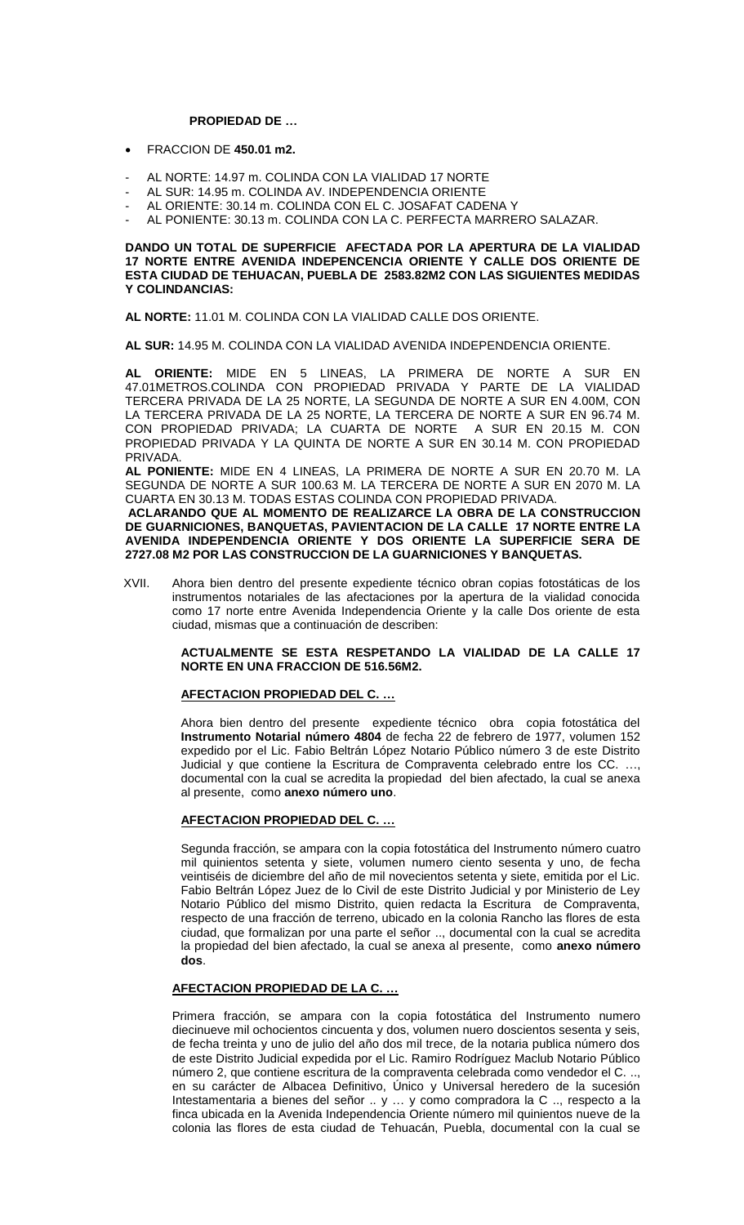#### **PROPIEDAD DE …**

- FRACCION DE **450.01 m2.**
- AL NORTE: 14.97 m. COLINDA CON LA VIALIDAD 17 NORTE
- AL SUR: 14.95 m. COLINDA AV. INDEPENDENCIA ORIENTE
- AL ORIENTE: 30.14 m. COLINDA CON EL C. JOSAFAT CADENA Y
- AL PONIENTE: 30.13 m. COLINDA CON LA C. PERFECTA MARRERO SALAZAR.

#### **DANDO UN TOTAL DE SUPERFICIE AFECTADA POR LA APERTURA DE LA VIALIDAD 17 NORTE ENTRE AVENIDA INDEPENCENCIA ORIENTE Y CALLE DOS ORIENTE DE ESTA CIUDAD DE TEHUACAN, PUEBLA DE 2583.82M2 CON LAS SIGUIENTES MEDIDAS Y COLINDANCIAS:**

**AL NORTE:** 11.01 M. COLINDA CON LA VIALIDAD CALLE DOS ORIENTE.

**AL SUR:** 14.95 M. COLINDA CON LA VIALIDAD AVENIDA INDEPENDENCIA ORIENTE.

**AL ORIENTE:** MIDE EN 5 LINEAS, LA PRIMERA DE NORTE A SUR EN 47.01METROS.COLINDA CON PROPIEDAD PRIVADA Y PARTE DE LA VIALIDAD TERCERA PRIVADA DE LA 25 NORTE, LA SEGUNDA DE NORTE A SUR EN 4.00M, CON LA TERCERA PRIVADA DE LA 25 NORTE, LA TERCERA DE NORTE A SUR EN 96.74 M. CON PROPIEDAD PRIVADA; LA CUARTA DE NORTE A SUR EN 20.15 M. CON PROPIEDAD PRIVADA Y LA QUINTA DE NORTE A SUR EN 30.14 M. CON PROPIEDAD PRIVADA.

**AL PONIENTE:** MIDE EN 4 LINEAS, LA PRIMERA DE NORTE A SUR EN 20.70 M. LA SEGUNDA DE NORTE A SUR 100.63 M. LA TERCERA DE NORTE A SUR EN 2070 M. LA CUARTA EN 30.13 M. TODAS ESTAS COLINDA CON PROPIEDAD PRIVADA.

**ACLARANDO QUE AL MOMENTO DE REALIZARCE LA OBRA DE LA CONSTRUCCION DE GUARNICIONES, BANQUETAS, PAVIENTACION DE LA CALLE 17 NORTE ENTRE LA AVENIDA INDEPENDENCIA ORIENTE Y DOS ORIENTE LA SUPERFICIE SERA DE 2727.08 M2 POR LAS CONSTRUCCION DE LA GUARNICIONES Y BANQUETAS.**

 XVII. Ahora bien dentro del presente expediente técnico obran copias fotostáticas de los instrumentos notariales de las afectaciones por la apertura de la vialidad conocida como 17 norte entre Avenida Independencia Oriente y la calle Dos oriente de esta ciudad, mismas que a continuación de describen:

#### **ACTUALMENTE SE ESTA RESPETANDO LA VIALIDAD DE LA CALLE 17 NORTE EN UNA FRACCION DE 516.56M2.**

### **AFECTACION PROPIEDAD DEL C. …**

Ahora bien dentro del presente expediente técnico obra copia fotostática del **Instrumento Notarial número 4804** de fecha 22 de febrero de 1977, volumen 152 expedido por el Lic. Fabio Beltrán López Notario Público número 3 de este Distrito Judicial y que contiene la Escritura de Compraventa celebrado entre los CC. …, documental con la cual se acredita la propiedad del bien afectado, la cual se anexa al presente, como **anexo número uno**.

### **AFECTACION PROPIEDAD DEL C. …**

Segunda fracción, se ampara con la copia fotostática del Instrumento número cuatro mil quinientos setenta y siete, volumen numero ciento sesenta y uno, de fecha veintiséis de diciembre del año de mil novecientos setenta y siete, emitida por el Lic. Fabio Beltrán López Juez de lo Civil de este Distrito Judicial y por Ministerio de Ley Notario Público del mismo Distrito, quien redacta la Escritura de Compraventa, respecto de una fracción de terreno, ubicado en la colonia Rancho las flores de esta ciudad, que formalizan por una parte el señor .., documental con la cual se acredita la propiedad del bien afectado, la cual se anexa al presente, como **anexo número dos**.

#### **AFECTACION PROPIEDAD DE LA C. …**

Primera fracción, se ampara con la copia fotostática del Instrumento numero diecinueve mil ochocientos cincuenta y dos, volumen nuero doscientos sesenta y seis, de fecha treinta y uno de julio del año dos mil trece, de la notaria publica número dos de este Distrito Judicial expedida por el Lic. Ramiro Rodríguez Maclub Notario Público número 2, que contiene escritura de la compraventa celebrada como vendedor el C. .., en su carácter de Albacea Definitivo, Único y Universal heredero de la sucesión Intestamentaria a bienes del señor .. y … y como compradora la C .., respecto a la finca ubicada en la Avenida Independencia Oriente número mil quinientos nueve de la colonia las flores de esta ciudad de Tehuacán, Puebla, documental con la cual se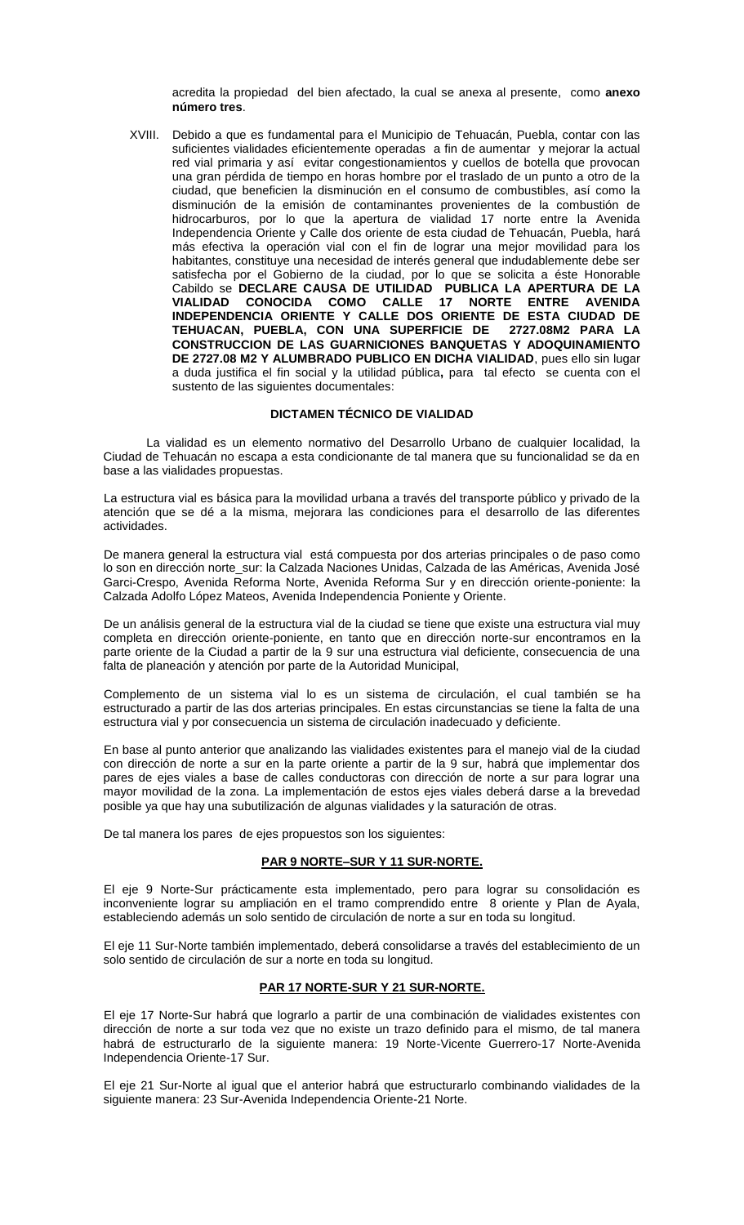acredita la propiedad del bien afectado, la cual se anexa al presente, como **anexo número tres**.

XVIII. Debido a que es fundamental para el Municipio de Tehuacán, Puebla, contar con las suficientes vialidades eficientemente operadas a fin de aumentar y mejorar la actual red vial primaria y así evitar congestionamientos y cuellos de botella que provocan una gran pérdida de tiempo en horas hombre por el traslado de un punto a otro de la ciudad, que beneficien la disminución en el consumo de combustibles, así como la disminución de la emisión de contaminantes provenientes de la combustión de hidrocarburos, por lo que la apertura de vialidad 17 norte entre la Avenida Independencia Oriente y Calle dos oriente de esta ciudad de Tehuacán, Puebla, hará más efectiva la operación vial con el fin de lograr una mejor movilidad para los habitantes, constituye una necesidad de interés general que indudablemente debe ser satisfecha por el Gobierno de la ciudad, por lo que se solicita a éste Honorable Cabildo se **DECLARE CAUSA DE UTILIDAD PUBLICA LA APERTURA DE LA VIALIDAD CONOCIDA COMO CALLE 17 NORTE ENTRE AVENIDA INDEPENDENCIA ORIENTE Y CALLE DOS ORIENTE DE ESTA CIUDAD DE TEHUACAN, PUEBLA, CON UNA SUPERFICIE DE 2727.08M2 PARA LA CONSTRUCCION DE LAS GUARNICIONES BANQUETAS Y ADOQUINAMIENTO DE 2727.08 M2 Y ALUMBRADO PUBLICO EN DICHA VIALIDAD**, pues ello sin lugar a duda justifica el fin social y la utilidad pública**,** para tal efecto se cuenta con el sustento de las siguientes documentales:

### **DICTAMEN TÉCNICO DE VIALIDAD**

 La vialidad es un elemento normativo del Desarrollo Urbano de cualquier localidad, la Ciudad de Tehuacán no escapa a esta condicionante de tal manera que su funcionalidad se da en base a las vialidades propuestas.

La estructura vial es básica para la movilidad urbana a través del transporte público y privado de la atención que se dé a la misma, mejorara las condiciones para el desarrollo de las diferentes actividades.

De manera general la estructura vial está compuesta por dos arterias principales o de paso como lo son en dirección norte\_sur: la Calzada Naciones Unidas, Calzada de las Américas, Avenida José Garci-Crespo, Avenida Reforma Norte, Avenida Reforma Sur y en dirección oriente-poniente: la Calzada Adolfo López Mateos, Avenida Independencia Poniente y Oriente.

De un análisis general de la estructura vial de la ciudad se tiene que existe una estructura vial muy completa en dirección oriente-poniente, en tanto que en dirección norte-sur encontramos en la parte oriente de la Ciudad a partir de la 9 sur una estructura vial deficiente, consecuencia de una falta de planeación y atención por parte de la Autoridad Municipal,

Complemento de un sistema vial lo es un sistema de circulación, el cual también se ha estructurado a partir de las dos arterias principales. En estas circunstancias se tiene la falta de una estructura vial y por consecuencia un sistema de circulación inadecuado y deficiente.

En base al punto anterior que analizando las vialidades existentes para el manejo vial de la ciudad con dirección de norte a sur en la parte oriente a partir de la 9 sur, habrá que implementar dos pares de ejes viales a base de calles conductoras con dirección de norte a sur para lograr una mayor movilidad de la zona. La implementación de estos ejes viales deberá darse a la brevedad posible ya que hay una subutilización de algunas vialidades y la saturación de otras.

De tal manera los pares de ejes propuestos son los siguientes:

### **PAR 9 NORTE–SUR Y 11 SUR-NORTE.**

El eje 9 Norte-Sur prácticamente esta implementado, pero para lograr su consolidación es inconveniente lograr su ampliación en el tramo comprendido entre 8 oriente y Plan de Ayala, estableciendo además un solo sentido de circulación de norte a sur en toda su longitud.

El eje 11 Sur-Norte también implementado, deberá consolidarse a través del establecimiento de un solo sentido de circulación de sur a norte en toda su longitud.

### **PAR 17 NORTE-SUR Y 21 SUR-NORTE.**

El eje 17 Norte-Sur habrá que lograrlo a partir de una combinación de vialidades existentes con dirección de norte a sur toda vez que no existe un trazo definido para el mismo, de tal manera habrá de estructurarlo de la siguiente manera: 19 Norte-Vicente Guerrero-17 Norte-Avenida Independencia Oriente-17 Sur.

El eje 21 Sur-Norte al igual que el anterior habrá que estructurarlo combinando vialidades de la siguiente manera: 23 Sur-Avenida Independencia Oriente-21 Norte.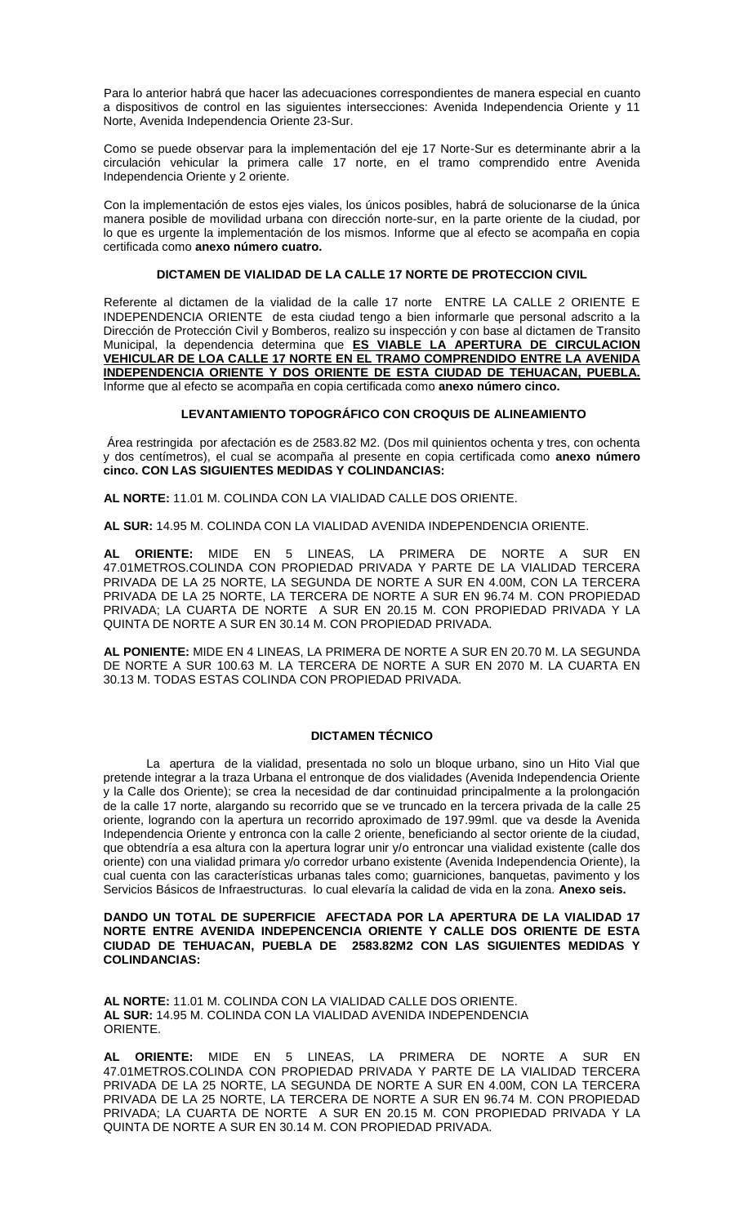Para lo anterior habrá que hacer las adecuaciones correspondientes de manera especial en cuanto a dispositivos de control en las siguientes intersecciones: Avenida Independencia Oriente y 11 Norte, Avenida Independencia Oriente 23-Sur.

Como se puede observar para la implementación del eje 17 Norte-Sur es determinante abrir a la circulación vehicular la primera calle 17 norte, en el tramo comprendido entre Avenida Independencia Oriente y 2 oriente.

Con la implementación de estos ejes viales, los únicos posibles, habrá de solucionarse de la única manera posible de movilidad urbana con dirección norte-sur, en la parte oriente de la ciudad, por lo que es urgente la implementación de los mismos. Informe que al efecto se acompaña en copia certificada como **anexo número cuatro.**

### **DICTAMEN DE VIALIDAD DE LA CALLE 17 NORTE DE PROTECCION CIVIL**

Referente al dictamen de la vialidad de la calle 17 norte ENTRE LA CALLE 2 ORIENTE E INDEPENDENCIA ORIENTE de esta ciudad tengo a bien informarle que personal adscrito a la Dirección de Protección Civil y Bomberos, realizo su inspección y con base al dictamen de Transito Municipal, la dependencia determina que **ES VIABLE LA APERTURA DE CIRCULACION VEHICULAR DE LOA CALLE 17 NORTE EN EL TRAMO COMPRENDIDO ENTRE LA AVENIDA INDEPENDENCIA ORIENTE Y DOS ORIENTE DE ESTA CIUDAD DE TEHUACAN, PUEBLA.** Informe que al efecto se acompaña en copia certificada como **anexo número cinco.**

#### **LEVANTAMIENTO TOPOGRÁFICO CON CROQUIS DE ALINEAMIENTO**

Área restringida por afectación es de 2583.82 M2. (Dos mil quinientos ochenta y tres, con ochenta y dos centímetros), el cual se acompaña al presente en copia certificada como **anexo número cinco. CON LAS SIGUIENTES MEDIDAS Y COLINDANCIAS:**

**AL NORTE:** 11.01 M. COLINDA CON LA VIALIDAD CALLE DOS ORIENTE.

**AL SUR:** 14.95 M. COLINDA CON LA VIALIDAD AVENIDA INDEPENDENCIA ORIENTE.

**AL ORIENTE:** MIDE EN 5 LINEAS, LA PRIMERA DE NORTE A SUR EN 47.01METROS.COLINDA CON PROPIEDAD PRIVADA Y PARTE DE LA VIALIDAD TERCERA PRIVADA DE LA 25 NORTE, LA SEGUNDA DE NORTE A SUR EN 4.00M, CON LA TERCERA PRIVADA DE LA 25 NORTE, LA TERCERA DE NORTE A SUR EN 96.74 M. CON PROPIEDAD PRIVADA; LA CUARTA DE NORTE A SUR EN 20.15 M. CON PROPIEDAD PRIVADA Y LA QUINTA DE NORTE A SUR EN 30.14 M. CON PROPIEDAD PRIVADA.

**AL PONIENTE:** MIDE EN 4 LINEAS, LA PRIMERA DE NORTE A SUR EN 20.70 M. LA SEGUNDA DE NORTE A SUR 100.63 M. LA TERCERA DE NORTE A SUR EN 2070 M. LA CUARTA EN 30.13 M. TODAS ESTAS COLINDA CON PROPIEDAD PRIVADA.

#### **DICTAMEN TÉCNICO**

La apertura de la vialidad, presentada no solo un bloque urbano, sino un Hito Vial que pretende integrar a la traza Urbana el entronque de dos vialidades (Avenida Independencia Oriente y la Calle dos Oriente); se crea la necesidad de dar continuidad principalmente a la prolongación de la calle 17 norte, alargando su recorrido que se ve truncado en la tercera privada de la calle 25 oriente, logrando con la apertura un recorrido aproximado de 197.99ml. que va desde la Avenida Independencia Oriente y entronca con la calle 2 oriente, beneficiando al sector oriente de la ciudad, que obtendría a esa altura con la apertura lograr unir y/o entroncar una vialidad existente (calle dos oriente) con una vialidad primara y/o corredor urbano existente (Avenida Independencia Oriente), la cual cuenta con las características urbanas tales como; guarniciones, banquetas, pavimento y los Servicios Básicos de Infraestructuras. lo cual elevaría la calidad de vida en la zona. **Anexo seis.**

#### **DANDO UN TOTAL DE SUPERFICIE AFECTADA POR LA APERTURA DE LA VIALIDAD 17 NORTE ENTRE AVENIDA INDEPENCENCIA ORIENTE Y CALLE DOS ORIENTE DE ESTA CIUDAD DE TEHUACAN, PUEBLA DE 2583.82M2 CON LAS SIGUIENTES MEDIDAS Y COLINDANCIAS:**

**AL NORTE:** 11.01 M. COLINDA CON LA VIALIDAD CALLE DOS ORIENTE. **AL SUR:** 14.95 M. COLINDA CON LA VIALIDAD AVENIDA INDEPENDENCIA ORIENTE.

**AL ORIENTE:** MIDE EN 5 LINEAS, LA PRIMERA DE NORTE A SUR EN 47.01METROS.COLINDA CON PROPIEDAD PRIVADA Y PARTE DE LA VIALIDAD TERCERA PRIVADA DE LA 25 NORTE, LA SEGUNDA DE NORTE A SUR EN 4.00M, CON LA TERCERA PRIVADA DE LA 25 NORTE, LA TERCERA DE NORTE A SUR EN 96.74 M. CON PROPIEDAD PRIVADA; LA CUARTA DE NORTE A SUR EN 20.15 M. CON PROPIEDAD PRIVADA Y LA QUINTA DE NORTE A SUR EN 30.14 M. CON PROPIEDAD PRIVADA.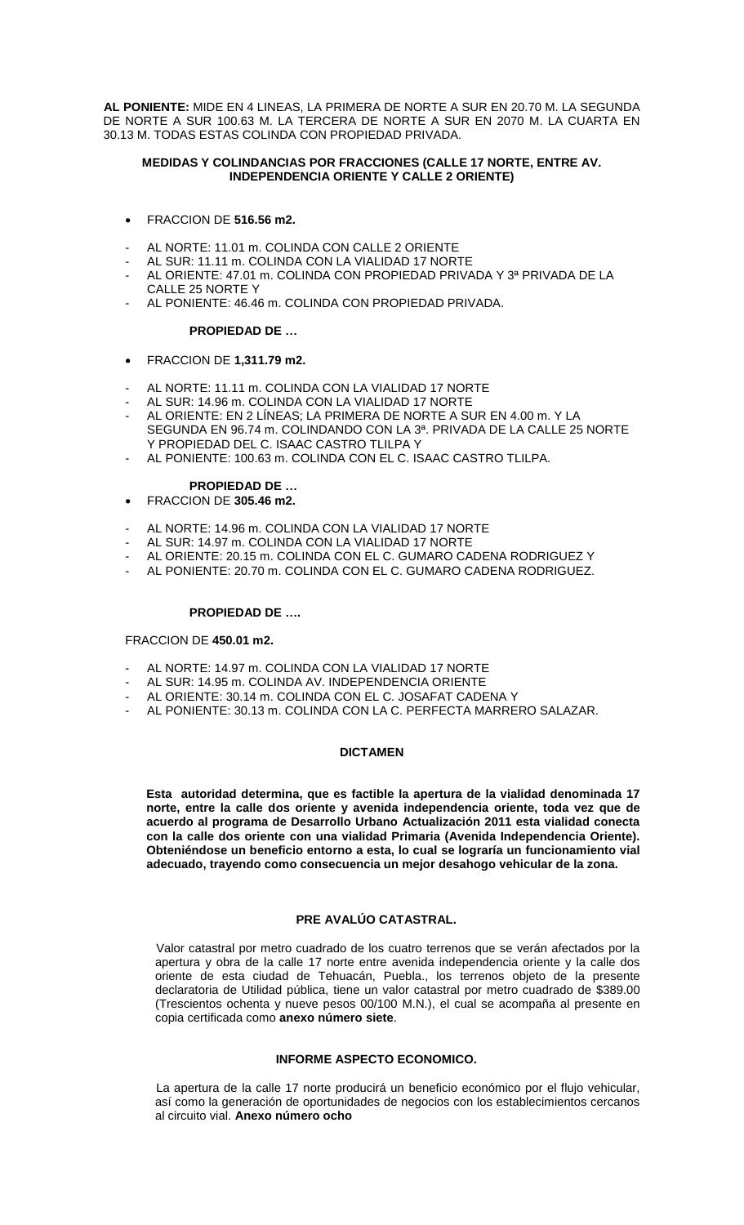**AL PONIENTE:** MIDE EN 4 LINEAS, LA PRIMERA DE NORTE A SUR EN 20.70 M. LA SEGUNDA DE NORTE A SUR 100.63 M. LA TERCERA DE NORTE A SUR EN 2070 M. LA CUARTA EN 30.13 M. TODAS ESTAS COLINDA CON PROPIEDAD PRIVADA.

### **MEDIDAS Y COLINDANCIAS POR FRACCIONES (CALLE 17 NORTE, ENTRE AV. INDEPENDENCIA ORIENTE Y CALLE 2 ORIENTE)**

- FRACCION DE **516.56 m2.**
- AL NORTE: 11.01 m. COLINDA CON CALLE 2 ORIENTE
- AL SUR: 11.11 m. COLINDA CON LA VIALIDAD 17 NORTE
- AL ORIENTE: 47.01 m. COLINDA CON PROPIEDAD PRIVADA Y 3ª PRIVADA DE LA CALLE 25 NORTE Y
- AL PONIENTE: 46.46 m. COLINDA CON PROPIEDAD PRIVADA.

#### **PROPIEDAD DE …**

- FRACCION DE **1,311.79 m2.**
- AL NORTE: 11.11 m. COLINDA CON LA VIALIDAD 17 NORTE
- AL SUR: 14.96 m. COLINDA CON LA VIALIDAD 17 NORTE
- AL ORIENTE: EN 2 LÍNEAS; LA PRIMERA DE NORTE A SUR EN 4.00 m. Y LA SEGUNDA EN 96.74 m. COLINDANDO CON LA 3ª. PRIVADA DE LA CALLE 25 NORTE Y PROPIEDAD DEL C. ISAAC CASTRO TLILPA Y
- AL PONIENTE: 100.63 m. COLINDA CON EL C. ISAAC CASTRO TLILPA.

#### **PROPIEDAD DE …**

- FRACCION DE **305.46 m2.**
- AL NORTE: 14.96 m. COLINDA CON LA VIALIDAD 17 NORTE
- AL SUR: 14.97 m. COLINDA CON LA VIALIDAD 17 NORTE
- AL ORIENTE: 20.15 m. COLINDA CON EL C. GUMARO CADENA RODRIGUEZ Y
- AL PONIENTE: 20.70 m. COLINDA CON EL C. GUMARO CADENA RODRIGUEZ.

#### **PROPIEDAD DE ….**

#### FRACCION DE **450.01 m2.**

- AL NORTE: 14.97 m. COLINDA CON LA VIALIDAD 17 NORTE
- AL SUR: 14.95 m. COLINDA AV. INDEPENDENCIA ORIENTE
- AL ORIENTE: 30.14 m. COLINDA CON EL C. JOSAFAT CADENA Y
- AL PONIENTE: 30.13 m. COLINDA CON LA C. PERFECTA MARRERO SALAZAR.

### **DICTAMEN**

**Esta autoridad determina, que es factible la apertura de la vialidad denominada 17 norte, entre la calle dos oriente y avenida independencia oriente, toda vez que de acuerdo al programa de Desarrollo Urbano Actualización 2011 esta vialidad conecta con la calle dos oriente con una vialidad Primaria (Avenida Independencia Oriente). Obteniéndose un beneficio entorno a esta, lo cual se lograría un funcionamiento vial adecuado, trayendo como consecuencia un mejor desahogo vehicular de la zona.**

### **PRE AVALÚO CATASTRAL.**

 Valor catastral por metro cuadrado de los cuatro terrenos que se verán afectados por la apertura y obra de la calle 17 norte entre avenida independencia oriente y la calle dos oriente de esta ciudad de Tehuacán, Puebla., los terrenos objeto de la presente declaratoria de Utilidad pública, tiene un valor catastral por metro cuadrado de \$389.00 (Trescientos ochenta y nueve pesos 00/100 M.N.), el cual se acompaña al presente en copia certificada como **anexo número siete**.

### **INFORME ASPECTO ECONOMICO.**

 La apertura de la calle 17 norte producirá un beneficio económico por el flujo vehicular, así como la generación de oportunidades de negocios con los establecimientos cercanos al circuito vial. **Anexo número ocho**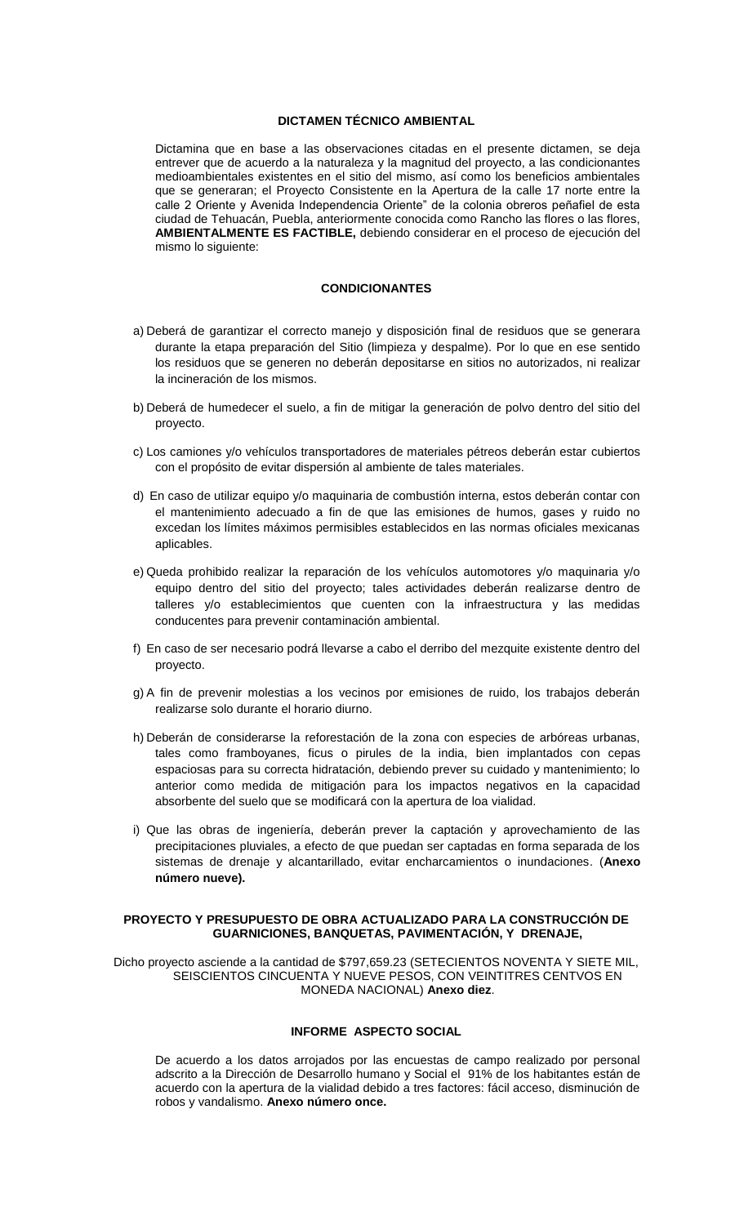### **DICTAMEN TÉCNICO AMBIENTAL**

 Dictamina que en base a las observaciones citadas en el presente dictamen, se deja entrever que de acuerdo a la naturaleza y la magnitud del proyecto, a las condicionantes medioambientales existentes en el sitio del mismo, así como los beneficios ambientales que se generaran; el Proyecto Consistente en la Apertura de la calle 17 norte entre la calle 2 Oriente y Avenida Independencia Oriente" de la colonia obreros peñafiel de esta ciudad de Tehuacán, Puebla, anteriormente conocida como Rancho las flores o las flores, **AMBIENTALMENTE ES FACTIBLE,** debiendo considerar en el proceso de ejecución del mismo lo siguiente:

#### **CONDICIONANTES**

- a) Deberá de garantizar el correcto manejo y disposición final de residuos que se generara durante la etapa preparación del Sitio (limpieza y despalme). Por lo que en ese sentido los residuos que se generen no deberán depositarse en sitios no autorizados, ni realizar la incineración de los mismos.
- b) Deberá de humedecer el suelo, a fin de mitigar la generación de polvo dentro del sitio del proyecto.
- c) Los camiones y/o vehículos transportadores de materiales pétreos deberán estar cubiertos con el propósito de evitar dispersión al ambiente de tales materiales.
- d) En caso de utilizar equipo y/o maquinaria de combustión interna, estos deberán contar con el mantenimiento adecuado a fin de que las emisiones de humos, gases y ruido no excedan los límites máximos permisibles establecidos en las normas oficiales mexicanas aplicables.
- e) Queda prohibido realizar la reparación de los vehículos automotores y/o maquinaria y/o equipo dentro del sitio del proyecto; tales actividades deberán realizarse dentro de talleres y/o establecimientos que cuenten con la infraestructura y las medidas conducentes para prevenir contaminación ambiental.
- f) En caso de ser necesario podrá llevarse a cabo el derribo del mezquite existente dentro del proyecto.
- g) A fin de prevenir molestias a los vecinos por emisiones de ruido, los trabajos deberán realizarse solo durante el horario diurno.
- h) Deberán de considerarse la reforestación de la zona con especies de arbóreas urbanas, tales como framboyanes, ficus o pirules de la india, bien implantados con cepas espaciosas para su correcta hidratación, debiendo prever su cuidado y mantenimiento; lo anterior como medida de mitigación para los impactos negativos en la capacidad absorbente del suelo que se modificará con la apertura de loa vialidad.
- i) Que las obras de ingeniería, deberán prever la captación y aprovechamiento de las precipitaciones pluviales, a efecto de que puedan ser captadas en forma separada de los sistemas de drenaje y alcantarillado, evitar encharcamientos o inundaciones. (**Anexo número nueve).**

#### **PROYECTO Y PRESUPUESTO DE OBRA ACTUALIZADO PARA LA CONSTRUCCIÓN DE GUARNICIONES, BANQUETAS, PAVIMENTACIÓN, Y DRENAJE,**

Dicho proyecto asciende a la cantidad de \$797,659.23 (SETECIENTOS NOVENTA Y SIETE MIL, SEISCIENTOS CINCUENTA Y NUEVE PESOS, CON VEINTITRES CENTVOS EN MONEDA NACIONAL) **Anexo diez**.

# **INFORME ASPECTO SOCIAL**

 De acuerdo a los datos arrojados por las encuestas de campo realizado por personal adscrito a la Dirección de Desarrollo humano y Social el 91% de los habitantes están de acuerdo con la apertura de la vialidad debido a tres factores: fácil acceso, disminución de robos y vandalismo. **Anexo número once.**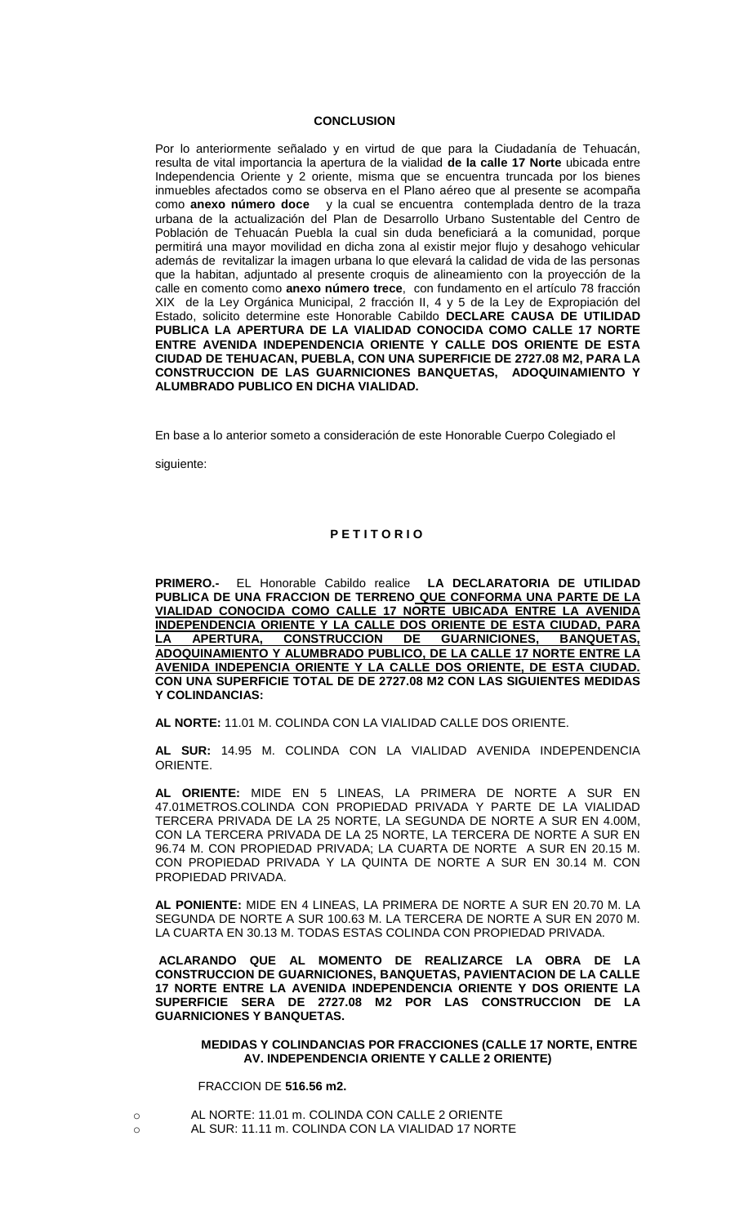#### **CONCLUSION**

Por lo anteriormente señalado y en virtud de que para la Ciudadanía de Tehuacán, resulta de vital importancia la apertura de la vialidad **de la calle 17 Norte** ubicada entre Independencia Oriente y 2 oriente, misma que se encuentra truncada por los bienes inmuebles afectados como se observa en el Plano aéreo que al presente se acompaña como **anexo número doce** y la cual se encuentra contemplada dentro de la traza urbana de la actualización del Plan de Desarrollo Urbano Sustentable del Centro de Población de Tehuacán Puebla la cual sin duda beneficiará a la comunidad, porque permitirá una mayor movilidad en dicha zona al existir mejor flujo y desahogo vehicular además de revitalizar la imagen urbana lo que elevará la calidad de vida de las personas que la habitan, adjuntado al presente croquis de alineamiento con la proyección de la calle en comento como **anexo número trece**, con fundamento en el artículo 78 fracción XIX de la Ley Orgánica Municipal, 2 fracción II, 4 y 5 de la Ley de Expropiación del Estado, solicito determine este Honorable Cabildo **DECLARE CAUSA DE UTILIDAD PUBLICA LA APERTURA DE LA VIALIDAD CONOCIDA COMO CALLE 17 NORTE ENTRE AVENIDA INDEPENDENCIA ORIENTE Y CALLE DOS ORIENTE DE ESTA CIUDAD DE TEHUACAN, PUEBLA, CON UNA SUPERFICIE DE 2727.08 M2, PARA LA CONSTRUCCION DE LAS GUARNICIONES BANQUETAS, ADOQUINAMIENTO Y ALUMBRADO PUBLICO EN DICHA VIALIDAD.**

En base a lo anterior someto a consideración de este Honorable Cuerpo Colegiado el

siguiente:

### **P E T I T O R I O**

**PRIMERO.-** EL Honorable Cabildo realice **LA DECLARATORIA DE UTILIDAD PUBLICA DE UNA FRACCION DE TERRENO QUE CONFORMA UNA PARTE DE LA VIALIDAD CONOCIDA COMO CALLE 17 NORTE UBICADA ENTRE LA AVENIDA INDEPENDENCIA ORIENTE Y LA CALLE DOS ORIENTE DE ESTA CIUDAD, PARA LA APERTURA, CONSTRUCCION DE GUARNICIONES, BANQUETAS, ADOQUINAMIENTO Y ALUMBRADO PUBLICO, DE LA CALLE 17 NORTE ENTRE LA AVENIDA INDEPENCIA ORIENTE Y LA CALLE DOS ORIENTE, DE ESTA CIUDAD. CON UNA SUPERFICIE TOTAL DE DE 2727.08 M2 CON LAS SIGUIENTES MEDIDAS Y COLINDANCIAS:**

**AL NORTE:** 11.01 M. COLINDA CON LA VIALIDAD CALLE DOS ORIENTE.

**AL SUR:** 14.95 M. COLINDA CON LA VIALIDAD AVENIDA INDEPENDENCIA ORIENTE.

**AL ORIENTE:** MIDE EN 5 LINEAS, LA PRIMERA DE NORTE A SUR EN 47.01METROS.COLINDA CON PROPIEDAD PRIVADA Y PARTE DE LA VIALIDAD TERCERA PRIVADA DE LA 25 NORTE, LA SEGUNDA DE NORTE A SUR EN 4.00M, CON LA TERCERA PRIVADA DE LA 25 NORTE, LA TERCERA DE NORTE A SUR EN 96.74 M. CON PROPIEDAD PRIVADA; LA CUARTA DE NORTE A SUR EN 20.15 M. CON PROPIEDAD PRIVADA Y LA QUINTA DE NORTE A SUR EN 30.14 M. CON PROPIEDAD PRIVADA.

**AL PONIENTE:** MIDE EN 4 LINEAS, LA PRIMERA DE NORTE A SUR EN 20.70 M. LA SEGUNDA DE NORTE A SUR 100.63 M. LA TERCERA DE NORTE A SUR EN 2070 M. LA CUARTA EN 30.13 M. TODAS ESTAS COLINDA CON PROPIEDAD PRIVADA.

**ACLARANDO QUE AL MOMENTO DE REALIZARCE LA OBRA DE LA CONSTRUCCION DE GUARNICIONES, BANQUETAS, PAVIENTACION DE LA CALLE 17 NORTE ENTRE LA AVENIDA INDEPENDENCIA ORIENTE Y DOS ORIENTE LA SUPERFICIE SERA DE 2727.08 M2 POR LAS CONSTRUCCION DE LA GUARNICIONES Y BANQUETAS.** 

#### **MEDIDAS Y COLINDANCIAS POR FRACCIONES (CALLE 17 NORTE, ENTRE AV. INDEPENDENCIA ORIENTE Y CALLE 2 ORIENTE)**

FRACCION DE **516.56 m2.**

- o AL NORTE: 11.01 m. COLINDA CON CALLE 2 ORIENTE
- o AL SUR: 11.11 m. COLINDA CON LA VIALIDAD 17 NORTE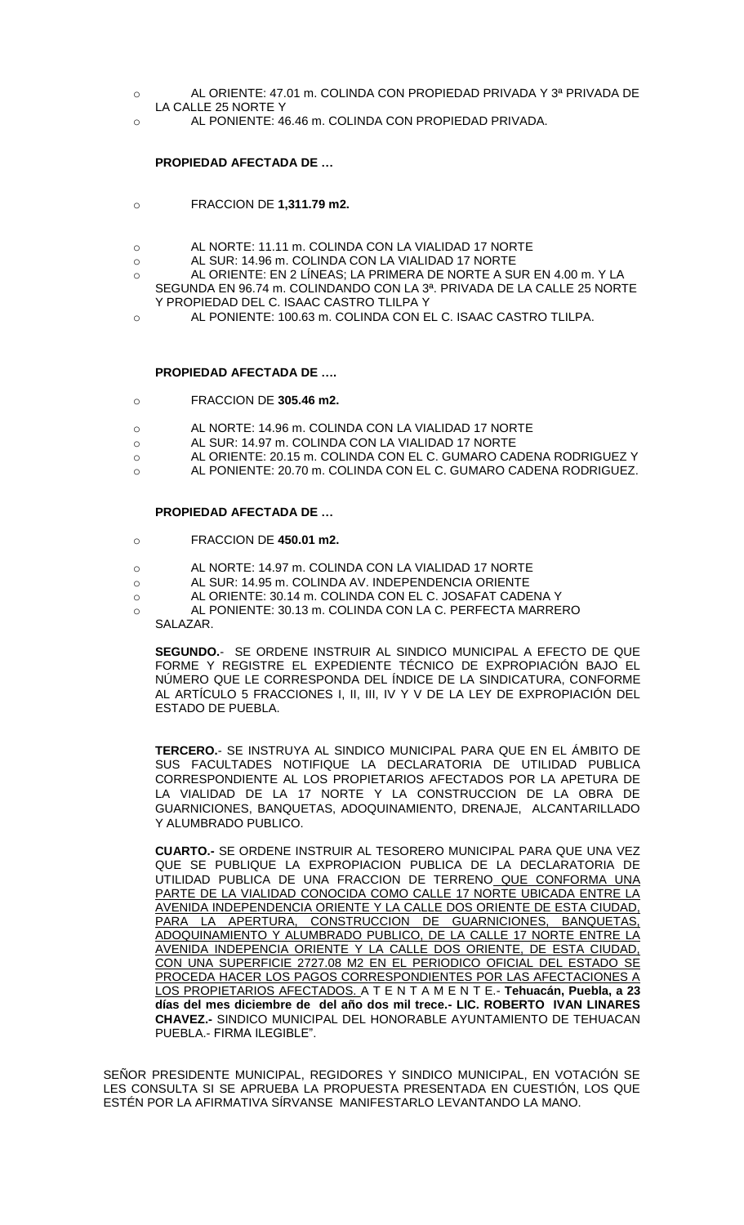- o AL ORIENTE: 47.01 m. COLINDA CON PROPIEDAD PRIVADA Y 3ª PRIVADA DE LA CALLE 25 NORTE Y
- o AL PONIENTE: 46.46 m. COLINDA CON PROPIEDAD PRIVADA.

### **PROPIEDAD AFECTADA DE …**

- o FRACCION DE **1,311.79 m2.**
- o AL NORTE: 11.11 m. COLINDA CON LA VIALIDAD 17 NORTE
- o AL SUR: 14.96 m. COLINDA CON LA VIALIDAD 17 NORTE
- o AL ORIENTE: EN 2 LÍNEAS; LA PRIMERA DE NORTE A SUR EN 4.00 m. Y LA SEGUNDA EN 96.74 m. COLINDANDO CON LA 3ª. PRIVADA DE LA CALLE 25 NORTE Y PROPIEDAD DEL C. ISAAC CASTRO TLILPA Y
- o AL PONIENTE: 100.63 m. COLINDA CON EL C. ISAAC CASTRO TLILPA.

#### **PROPIEDAD AFECTADA DE ….**

- o FRACCION DE **305.46 m2.**
- o AL NORTE: 14.96 m. COLINDA CON LA VIALIDAD 17 NORTE
- o AL SUR: 14.97 m. COLINDA CON LA VIALIDAD 17 NORTE
- o AL ORIENTE: 20.15 m. COLINDA CON EL C. GUMARO CADENA RODRIGUEZ Y
- o AL PONIENTE: 20.70 m. COLINDA CON EL C. GUMARO CADENA RODRIGUEZ.

#### **PROPIEDAD AFECTADA DE …**

- o FRACCION DE **450.01 m2.**
- o AL NORTE: 14.97 m. COLINDA CON LA VIALIDAD 17 NORTE
- o AL SUR: 14.95 m. COLINDA AV. INDEPENDENCIA ORIENTE
- o AL ORIENTE: 30.14 m. COLINDA CON EL C. JOSAFAT CADENA Y
- o AL PONIENTE: 30.13 m. COLINDA CON LA C. PERFECTA MARRERO
	- SALAZAR.

**SEGUNDO.**- SE ORDENE INSTRUIR AL SINDICO MUNICIPAL A EFECTO DE QUE FORME Y REGISTRE EL EXPEDIENTE TÉCNICO DE EXPROPIACIÓN BAJO EL NÚMERO QUE LE CORRESPONDA DEL ÍNDICE DE LA SINDICATURA, CONFORME AL ARTÍCULO 5 FRACCIONES I, II, III, IV Y V DE LA LEY DE EXPROPIACIÓN DEL ESTADO DE PUEBLA.

**TERCERO.**- SE INSTRUYA AL SINDICO MUNICIPAL PARA QUE EN EL ÁMBITO DE SUS FACULTADES NOTIFIQUE LA DECLARATORIA DE UTILIDAD PUBLICA CORRESPONDIENTE AL LOS PROPIETARIOS AFECTADOS POR LA APETURA DE LA VIALIDAD DE LA 17 NORTE Y LA CONSTRUCCION DE LA OBRA DE GUARNICIONES, BANQUETAS, ADOQUINAMIENTO, DRENAJE, ALCANTARILLADO Y ALUMBRADO PUBLICO.

**CUARTO.-** SE ORDENE INSTRUIR AL TESORERO MUNICIPAL PARA QUE UNA VEZ QUE SE PUBLIQUE LA EXPROPIACION PUBLICA DE LA DECLARATORIA DE UTILIDAD PUBLICA DE UNA FRACCION DE TERRENO QUE CONFORMA UNA PARTE DE LA VIALIDAD CONOCIDA COMO CALLE 17 NORTE UBICADA ENTRE LA AVENIDA INDEPENDENCIA ORIENTE Y LA CALLE DOS ORIENTE DE ESTA CIUDAD, PARA LA APERTURA, CONSTRUCCION DE GUARNICIONES, BANQUETAS, ADOQUINAMIENTO Y ALUMBRADO PUBLICO, DE LA CALLE 17 NORTE ENTRE LA AVENIDA INDEPENCIA ORIENTE Y LA CALLE DOS ORIENTE, DE ESTA CIUDAD, CON UNA SUPERFICIE 2727.08 M2 EN EL PERIODICO OFICIAL DEL ESTADO SE PROCEDA HACER LOS PAGOS CORRESPONDIENTES POR LAS AFECTACIONES A LOS PROPIETARIOS AFECTADOS. A T E N T A M E N T E.- **Tehuacán, Puebla, a 23 días del mes diciembre de del año dos mil trece.- LIC. ROBERTO IVAN LINARES CHAVEZ.-** SINDICO MUNICIPAL DEL HONORABLE AYUNTAMIENTO DE TEHUACAN PUEBLA.- FIRMA ILEGIBLE".

SEÑOR PRESIDENTE MUNICIPAL, REGIDORES Y SINDICO MUNICIPAL, EN VOTACIÓN SE LES CONSULTA SI SE APRUEBA LA PROPUESTA PRESENTADA EN CUESTIÓN, LOS QUE ESTÉN POR LA AFIRMATIVA SÍRVANSE MANIFESTARLO LEVANTANDO LA MANO.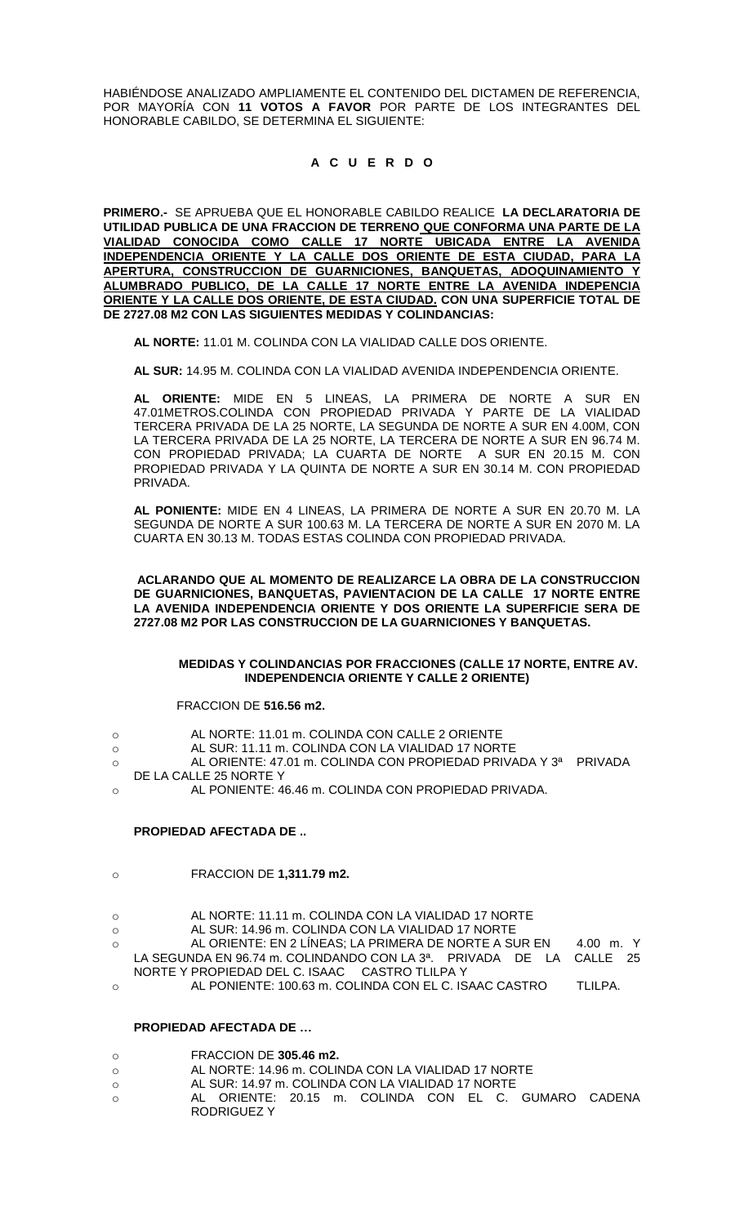HABIÉNDOSE ANALIZADO AMPLIAMENTE EL CONTENIDO DEL DICTAMEN DE REFERENCIA, POR MAYORÍA CON **11 VOTOS A FAVOR** POR PARTE DE LOS INTEGRANTES DEL HONORABLE CABILDO, SE DETERMINA EL SIGUIENTE:

# **A C U E R D O**

**PRIMERO.-** SE APRUEBA QUE EL HONORABLE CABILDO REALICE **LA DECLARATORIA DE UTILIDAD PUBLICA DE UNA FRACCION DE TERRENO QUE CONFORMA UNA PARTE DE LA VIALIDAD CONOCIDA COMO CALLE 17 NORTE UBICADA ENTRE LA AVENIDA INDEPENDENCIA ORIENTE Y LA CALLE DOS ORIENTE DE ESTA CIUDAD, PARA LA APERTURA, CONSTRUCCION DE GUARNICIONES, BANQUETAS, ADOQUINAMIENTO Y ALUMBRADO PUBLICO, DE LA CALLE 17 NORTE ENTRE LA AVENIDA INDEPENCIA ORIENTE Y LA CALLE DOS ORIENTE, DE ESTA CIUDAD. CON UNA SUPERFICIE TOTAL DE DE 2727.08 M2 CON LAS SIGUIENTES MEDIDAS Y COLINDANCIAS:**

**AL NORTE:** 11.01 M. COLINDA CON LA VIALIDAD CALLE DOS ORIENTE.

**AL SUR:** 14.95 M. COLINDA CON LA VIALIDAD AVENIDA INDEPENDENCIA ORIENTE.

**AL ORIENTE:** MIDE EN 5 LINEAS, LA PRIMERA DE NORTE A SUR EN 47.01METROS.COLINDA CON PROPIEDAD PRIVADA Y PARTE DE LA VIALIDAD TERCERA PRIVADA DE LA 25 NORTE, LA SEGUNDA DE NORTE A SUR EN 4.00M, CON LA TERCERA PRIVADA DE LA 25 NORTE, LA TERCERA DE NORTE A SUR EN 96.74 M. CON PROPIEDAD PRIVADA; LA CUARTA DE NORTE A SUR EN 20.15 M. CON PROPIEDAD PRIVADA Y LA QUINTA DE NORTE A SUR EN 30.14 M. CON PROPIEDAD PRIVADA.

**AL PONIENTE:** MIDE EN 4 LINEAS, LA PRIMERA DE NORTE A SUR EN 20.70 M. LA SEGUNDA DE NORTE A SUR 100.63 M. LA TERCERA DE NORTE A SUR EN 2070 M. LA CUARTA EN 30.13 M. TODAS ESTAS COLINDA CON PROPIEDAD PRIVADA.

**ACLARANDO QUE AL MOMENTO DE REALIZARCE LA OBRA DE LA CONSTRUCCION DE GUARNICIONES, BANQUETAS, PAVIENTACION DE LA CALLE 17 NORTE ENTRE LA AVENIDA INDEPENDENCIA ORIENTE Y DOS ORIENTE LA SUPERFICIE SERA DE 2727.08 M2 POR LAS CONSTRUCCION DE LA GUARNICIONES Y BANQUETAS.** 

#### **MEDIDAS Y COLINDANCIAS POR FRACCIONES (CALLE 17 NORTE, ENTRE AV. INDEPENDENCIA ORIENTE Y CALLE 2 ORIENTE)**

#### FRACCION DE **516.56 m2.**

- o AL NORTE: 11.01 m. COLINDA CON CALLE 2 ORIENTE
- o AL SUR: 11.11 m. COLINDA CON LA VIALIDAD 17 NORTE
- o AL ORIENTE: 47.01 m. COLINDA CON PROPIEDAD PRIVADA Y 3ª PRIVADA DE LA CALLE 25 NORTE Y
- o AL PONIENTE: 46.46 m. COLINDA CON PROPIEDAD PRIVADA.

#### **PROPIEDAD AFECTADA DE ..**

- o FRACCION DE **1,311.79 m2.**
- o AL NORTE: 11.11 m. COLINDA CON LA VIALIDAD 17 NORTE
- o AL SUR: 14.96 m. COLINDA CON LA VIALIDAD 17 NORTE
- o AL ORIENTE: EN 2 LÍNEAS; LA PRIMERA DE NORTE A SUR EN 4.00 m. Y LA SEGUNDA EN 96.74 m. COLINDANDO CON LA 3ª. PRIVADA DE LA CALLE 25 NORTE Y PROPIEDAD DEL C. ISAAC CASTRO TLILPA Y
- o AL PONIENTE: 100.63 m. COLINDA CON EL C. ISAAC CASTRO TLILPA.

# **PROPIEDAD AFECTADA DE …**

- o FRACCION DE **305.46 m2.**
- o AL NORTE: 14.96 m. COLINDA CON LA VIALIDAD 17 NORTE
- o AL SUR: 14.97 m. COLINDA CON LA VIALIDAD 17 NORTE
- o AL ORIENTE: 20.15 m. COLINDA CON EL C. GUMARO CADENA RODRIGUEZ Y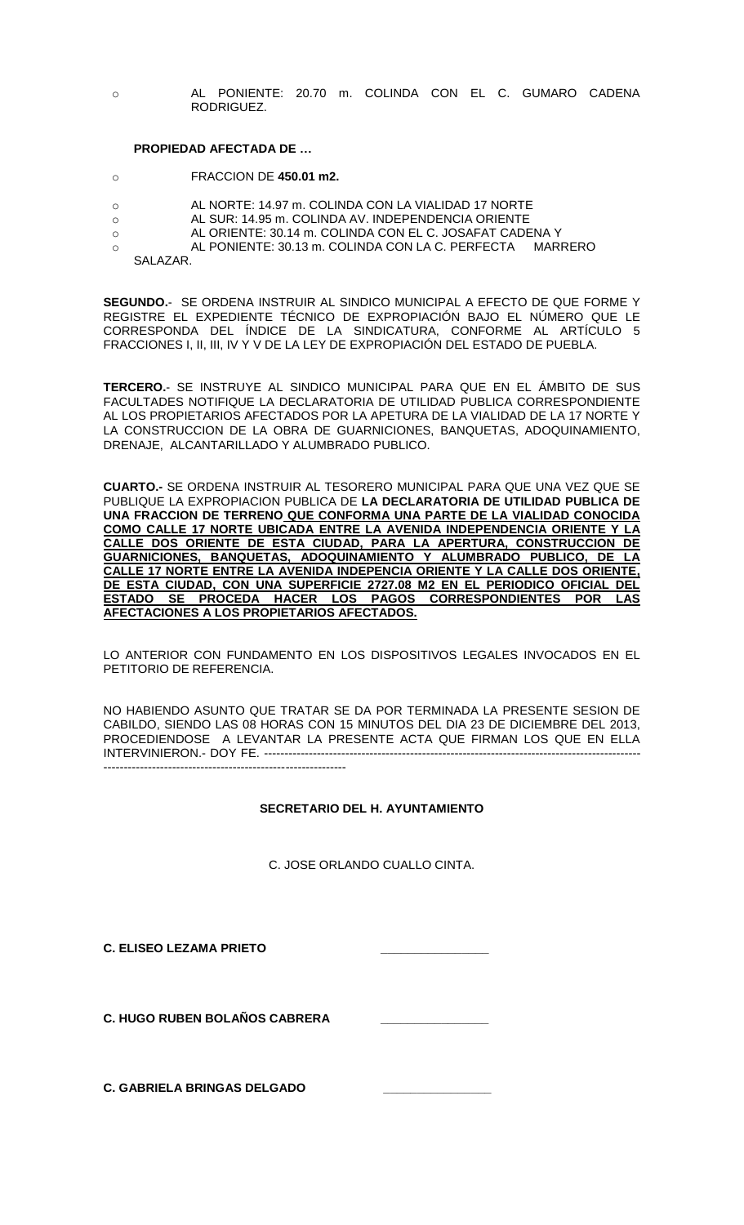o AL PONIENTE: 20.70 m. COLINDA CON EL C. GUMARO CADENA RODRIGUEZ.

### **PROPIEDAD AFECTADA DE …**

- o FRACCION DE **450.01 m2.**
- o AL NORTE: 14.97 m. COLINDA CON LA VIALIDAD 17 NORTE
- o AL SUR: 14.95 m. COLINDA AV. INDEPENDENCIA ORIENTE
- o AL ORIENTE: 30.14 m. COLINDA CON EL C. JOSAFAT CADENA Y
- o AL PONIENTE: 30.13 m. COLINDA CON LA C. PERFECTA MARRERO
	- SALAZAR.

**SEGUNDO.**- SE ORDENA INSTRUIR AL SINDICO MUNICIPAL A EFECTO DE QUE FORME Y REGISTRE EL EXPEDIENTE TÉCNICO DE EXPROPIACIÓN BAJO EL NÚMERO QUE LE CORRESPONDA DEL ÍNDICE DE LA SINDICATURA, CONFORME AL ARTÍCULO 5 FRACCIONES I, II, III, IV Y V DE LA LEY DE EXPROPIACIÓN DEL ESTADO DE PUEBLA.

**TERCERO.**- SE INSTRUYE AL SINDICO MUNICIPAL PARA QUE EN EL ÁMBITO DE SUS FACULTADES NOTIFIQUE LA DECLARATORIA DE UTILIDAD PUBLICA CORRESPONDIENTE AL LOS PROPIETARIOS AFECTADOS POR LA APETURA DE LA VIALIDAD DE LA 17 NORTE Y LA CONSTRUCCION DE LA OBRA DE GUARNICIONES, BANQUETAS, ADOQUINAMIENTO, DRENAJE, ALCANTARILLADO Y ALUMBRADO PUBLICO.

**CUARTO.-** SE ORDENA INSTRUIR AL TESORERO MUNICIPAL PARA QUE UNA VEZ QUE SE PUBLIQUE LA EXPROPIACION PUBLICA DE **LA DECLARATORIA DE UTILIDAD PUBLICA DE UNA FRACCION DE TERRENO QUE CONFORMA UNA PARTE DE LA VIALIDAD CONOCIDA COMO CALLE 17 NORTE UBICADA ENTRE LA AVENIDA INDEPENDENCIA ORIENTE Y LA CALLE DOS ORIENTE DE ESTA CIUDAD, PARA LA APERTURA, CONSTRUCCION DE GUARNICIONES, BANQUETAS, ADOQUINAMIENTO Y ALUMBRADO PUBLICO, DE LA CALLE 17 NORTE ENTRE LA AVENIDA INDEPENCIA ORIENTE Y LA CALLE DOS ORIENTE, DE ESTA CIUDAD, CON UNA SUPERFICIE 2727.08 M2 EN EL PERIODICO OFICIAL DEL ESTADO SE PROCEDA HACER LOS PAGOS CORRESPONDIENTES POR LAS AFECTACIONES A LOS PROPIETARIOS AFECTADOS.**

LO ANTERIOR CON FUNDAMENTO EN LOS DISPOSITIVOS LEGALES INVOCADOS EN EL PETITORIO DE REFERENCIA.

NO HABIENDO ASUNTO QUE TRATAR SE DA POR TERMINADA LA PRESENTE SESION DE CABILDO, SIENDO LAS 08 HORAS CON 15 MINUTOS DEL DIA 23 DE DICIEMBRE DEL 2013, PROCEDIENDOSE A LEVANTAR LA PRESENTE ACTA QUE FIRMAN LOS QUE EN ELLA INTERVINIERON.- DOY FE. --------------------------------------------------------------------------------------------- ------------------------------------------------------------

### **SECRETARIO DEL H. AYUNTAMIENTO**

C. JOSE ORLANDO CUALLO CINTA.

**C. ELISEO LEZAMA PRIETO** 

**C. HUGO RUBEN BOLAÑOS CABRERA \_\_\_\_\_\_\_\_\_\_\_\_\_\_\_\_**

**C. GABRIELA BRINGAS DELGADO**